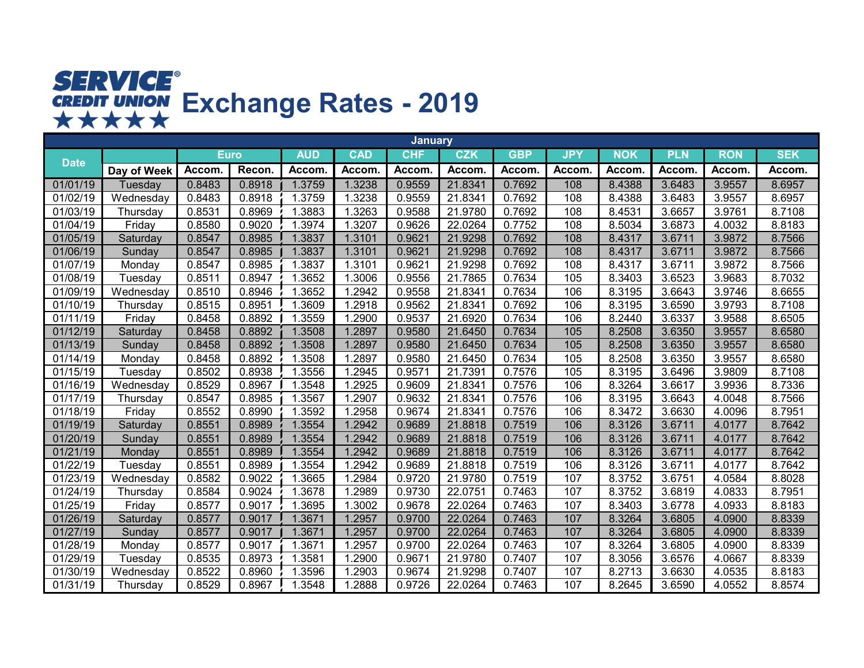## **Exchange Rates - 2019**

|             |             |             |        |            |            | <b>January</b> |            |            |            |            |            |              |            |
|-------------|-------------|-------------|--------|------------|------------|----------------|------------|------------|------------|------------|------------|--------------|------------|
| <b>Date</b> |             | <b>Euro</b> |        | <b>AUD</b> | <b>CAD</b> | <b>CHF</b>     | <b>CZK</b> | <b>GBP</b> | <b>JPY</b> | <b>NOK</b> | <b>PLN</b> | <b>RON</b>   | <b>SEK</b> |
|             | Day of Week | Accom.      | Recon. | Accom      | Accom.     | Accom.         | Accom      | Accom.     | Accom.     | Accom.     | Accom.     | <b>Accom</b> | Accom.     |
| 01/01/19    | Tuesday     | 0.8483      | 0.8918 | 1.3759     | 1.3238     | 0.9559         | 21.8341    | 0.7692     | 108        | 8.4388     | 3.6483     | 3.9557       | 8.6957     |
| 01/02/19    | Wednesday   | 0.8483      | 0.8918 | 1.3759     | 1.3238     | 0.9559         | 21.8341    | 0.7692     | 108        | 8.4388     | 3.6483     | 3.9557       | 8.6957     |
| 01/03/19    | Thursday    | 0.8531      | 0.8969 | 1.3883     | 1.3263     | 0.9588         | 21.9780    | 0.7692     | 108        | 8.4531     | 3.6657     | 3.9761       | 8.7108     |
| 01/04/19    | Friday      | 0.8580      | 0.9020 | 1.3974     | 1.3207     | 0.9626         | 22.0264    | 0.7752     | 108        | 8.5034     | 3.6873     | 4.0032       | 8.8183     |
| 01/05/19    | Saturday    | 0.8547      | 0.8985 | 1.3837     | 1.3101     | 0.9621         | 21.9298    | 0.7692     | 108        | 8.4317     | 3.6711     | 3.9872       | 8.7566     |
| 01/06/19    | Sunday      | 0.8547      | 0.8985 | 1.3837     | 1.3101     | 0.9621         | 21.9298    | 0.7692     | 108        | 8.4317     | 3.6711     | 3.9872       | 8.7566     |
| 01/07/19    | Monday      | 0.8547      | 0.8985 | 1.3837     | 1.3101     | 0.9621         | 21.9298    | 0.7692     | 108        | 8.4317     | 3.6711     | 3.9872       | 8.7566     |
| 01/08/19    | Tuesday     | 0.8511      | 0.8947 | 1.3652     | 1.3006     | 0.9556         | 21.7865    | 0.7634     | 105        | 8.3403     | 3.6523     | 3.9683       | 8.7032     |
| 01/09/19    | Wednesday   | 0.8510      | 0.8946 | 1.3652     | 1.2942     | 0.9558         | 21.8341    | 0.7634     | 106        | 8.3195     | 3.6643     | 3.9746       | 8.6655     |
| 01/10/19    | Thursday    | 0.8515      | 0.8951 | 1.3609     | 1.2918     | 0.9562         | 21.8341    | 0.7692     | 106        | 8.3195     | 3.6590     | 3.9793       | 8.7108     |
| 01/11/19    | Friday      | 0.8458      | 0.8892 | 1.3559     | 1.2900     | 0.9537         | 21.6920    | 0.7634     | 106        | 8.2440     | 3.6337     | 3.9588       | 8.6505     |
| 01/12/19    | Saturday    | 0.8458      | 0.8892 | 1.3508     | 1.2897     | 0.9580         | 21.6450    | 0.7634     | 105        | 8.2508     | 3.6350     | 3.9557       | 8.6580     |
| 01/13/19    | Sunday      | 0.8458      | 0.8892 | 1.3508     | 1.2897     | 0.9580         | 21.6450    | 0.7634     | 105        | 8.2508     | 3.6350     | 3.9557       | 8.6580     |
| 01/14/19    | Monday      | 0.8458      | 0.8892 | 1.3508     | 1.2897     | 0.9580         | 21.6450    | 0.7634     | 105        | 8.2508     | 3.6350     | 3.9557       | 8.6580     |
| 01/15/19    | Tuesday     | 0.8502      | 0.8938 | 1.3556     | 1.2945     | 0.9571         | 21.7391    | 0.7576     | 105        | 8.3195     | 3.6496     | 3.9809       | 8.7108     |
| 01/16/19    | Wednesday   | 0.8529      | 0.8967 | 1.3548     | 1.2925     | 0.9609         | 21.8341    | 0.7576     | 106        | 8.3264     | 3.6617     | 3.9936       | 8.7336     |
| 01/17/19    | Thursday    | 0.8547      | 0.8985 | 1.3567     | 1.2907     | 0.9632         | 21.8341    | 0.7576     | 106        | 8.3195     | 3.6643     | 4.0048       | 8.7566     |
| 01/18/19    | Friday      | 0.8552      | 0.8990 | 1.3592     | 1.2958     | 0.9674         | 21.8341    | 0.7576     | 106        | 8.3472     | 3.6630     | 4.0096       | 8.7951     |
| 01/19/19    | Saturday    | 0.8551      | 0.8989 | 1.3554     | 1.2942     | 0.9689         | 21.8818    | 0.7519     | 106        | 8.3126     | 3.6711     | 4.0177       | 8.7642     |
| 01/20/19    | Sunday      | 0.8551      | 0.8989 | 1.3554     | 1.2942     | 0.9689         | 21.8818    | 0.7519     | 106        | 8.3126     | 3.6711     | 4.0177       | 8.7642     |
| 01/21/19    | Monday      | 0.8551      | 0.8989 | 1.3554     | 1.2942     | 0.9689         | 21.8818    | 0.7519     | 106        | 8.3126     | 3.6711     | 4.0177       | 8.7642     |
| 01/22/19    | Tuesday     | 0.8551      | 0.8989 | 1.3554     | 1.2942     | 0.9689         | 21.8818    | 0.7519     | 106        | 8.3126     | 3.6711     | 4.0177       | 8.7642     |
| 01/23/19    | Wednesday   | 0.8582      | 0.9022 | 1.3665     | 1.2984     | 0.9720         | 21.9780    | 0.7519     | 107        | 8.3752     | 3.6751     | 4.0584       | 8.8028     |
| 01/24/19    | Thursday    | 0.8584      | 0.9024 | 1.3678     | 1.2989     | 0.9730         | 22.0751    | 0.7463     | 107        | 8.3752     | 3.6819     | 4.0833       | 8.7951     |
| 01/25/19    | Friday      | 0.8577      | 0.9017 | .3695      | 1.3002     | 0.9678         | 22.0264    | 0.7463     | 107        | 8.3403     | 3.6778     | 4.0933       | 8.8183     |
| 01/26/19    | Saturday    | 0.8577      | 0.9017 | 1.3671     | 1.2957     | 0.9700         | 22.0264    | 0.7463     | 107        | 8.3264     | 3.6805     | 4.0900       | 8.8339     |
| 01/27/19    | Sunday      | 0.8577      | 0.9017 | 1.3671     | 1.2957     | 0.9700         | 22.0264    | 0.7463     | 107        | 8.3264     | 3.6805     | 4.0900       | 8.8339     |
| 01/28/19    | Monday      | 0.8577      | 0.9017 | 1.3671     | 1.2957     | 0.9700         | 22.0264    | 0.7463     | 107        | 8.3264     | 3.6805     | 4.0900       | 8.8339     |
| 01/29/19    | Tuesday     | 0.8535      | 0.8973 | 1.3581     | 1.2900     | 0.9671         | 21.9780    | 0.7407     | 107        | 8.3056     | 3.6576     | 4.0667       | 8.8339     |
| 01/30/19    | Wednesday   | 0.8522      | 0.8960 | 1.3596     | 1.2903     | 0.9674         | 21.9298    | 0.7407     | 107        | 8.2713     | 3.6630     | 4.0535       | 8.8183     |
| 01/31/19    | Thursday    | 0.8529      | 0.8967 | 1.3548     | 1.2888     | 0.9726         | 22.0264    | 0.7463     | 107        | 8.2645     | 3.6590     | 4.0552       | 8.8574     |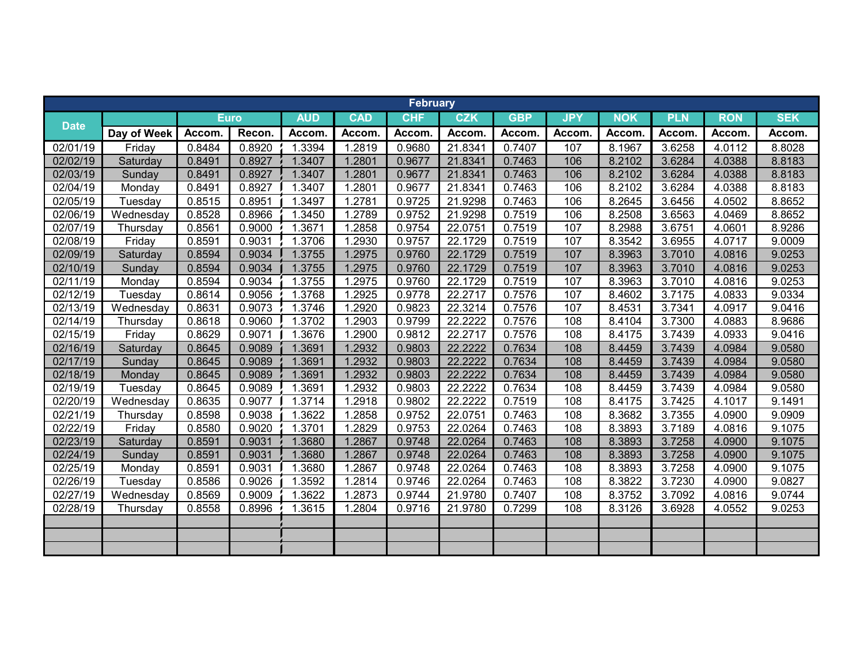|             |             |             |        |            |            | <b>February</b> |            |            |            |            |            |            |            |
|-------------|-------------|-------------|--------|------------|------------|-----------------|------------|------------|------------|------------|------------|------------|------------|
| <b>Date</b> |             | <b>Euro</b> |        | <b>AUD</b> | <b>CAD</b> | <b>CHF</b>      | <b>CZK</b> | <b>GBP</b> | <b>JPY</b> | <b>NOK</b> | <b>PLN</b> | <b>RON</b> | <b>SEK</b> |
|             | Day of Week | Accom.      | Recon. | Accom.     | Accom.     | Accom.          | Accom.     | Accom.     | Accom.     | Accom.     | Accom.     | Accom.     | Accom.     |
| 02/01/19    | Friday      | 0.8484      | 0.8920 | 1.3394     | 1.2819     | 0.9680          | 21.8341    | 0.7407     | 107        | 8.1967     | 3.6258     | 4.0112     | 8.8028     |
| 02/02/19    | Saturday    | 0.8491      | 0.8927 | 1.3407     | 1.2801     | 0.9677          | 21.8341    | 0.7463     | 106        | 8.2102     | 3.6284     | 4.0388     | 8.8183     |
| 02/03/19    | Sunday      | 0.8491      | 0.8927 | 1.3407     | 1.2801     | 0.9677          | 21.8341    | 0.7463     | 106        | 8.2102     | 3.6284     | 4.0388     | 8.8183     |
| 02/04/19    | Monday      | 0.8491      | 0.8927 | 1.3407     | 1.2801     | 0.9677          | 21.8341    | 0.7463     | 106        | 8.2102     | 3.6284     | 4.0388     | 8.8183     |
| 02/05/19    | Tuesday     | 0.8515      | 0.8951 | 1.3497     | 1.2781     | 0.9725          | 21.9298    | 0.7463     | 106        | 8.2645     | 3.6456     | 4.0502     | 8.8652     |
| 02/06/19    | Wednesday   | 0.8528      | 0.8966 | 1.3450     | 1.2789     | 0.9752          | 21.9298    | 0.7519     | 106        | 8.2508     | 3.6563     | 4.0469     | 8.8652     |
| 02/07/19    | Thursday    | 0.8561      | 0.9000 | 1.3671     | 1.2858     | 0.9754          | 22.0751    | 0.7519     | 107        | 8.2988     | 3.6751     | 4.0601     | 8.9286     |
| 02/08/19    | Friday      | 0.8591      | 0.9031 | 1.3706     | 1.2930     | 0.9757          | 22.1729    | 0.7519     | 107        | 8.3542     | 3.6955     | 4.0717     | 9.0009     |
| 02/09/19    | Saturday    | 0.8594      | 0.9034 | 1.3755     | 1.2975     | 0.9760          | 22.1729    | 0.7519     | 107        | 8.3963     | 3.7010     | 4.0816     | 9.0253     |
| 02/10/19    | Sunday      | 0.8594      | 0.9034 | 1.3755     | 1.2975     | 0.9760          | 22.1729    | 0.7519     | 107        | 8.3963     | 3.7010     | 4.0816     | 9.0253     |
| 02/11/19    | Monday      | 0.8594      | 0.9034 | 1.3755     | 1.2975     | 0.9760          | 22.1729    | 0.7519     | 107        | 8.3963     | 3.7010     | 4.0816     | 9.0253     |
| 02/12/19    | Tuesday     | 0.8614      | 0.9056 | 1.3768     | 1.2925     | 0.9778          | 22.2717    | 0.7576     | 107        | 8.4602     | 3.7175     | 4.0833     | 9.0334     |
| 02/13/19    | Wednesday   | 0.8631      | 0.9073 | 1.3746     | 1.2920     | 0.9823          | 22.3214    | 0.7576     | 107        | 8.4531     | 3.7341     | 4.0917     | 9.0416     |
| 02/14/19    | Thursday    | 0.8618      | 0.9060 | 1.3702     | 1.2903     | 0.9799          | 22.2222    | 0.7576     | 108        | 8.4104     | 3.7300     | 4.0883     | 8.9686     |
| 02/15/19    | Friday      | 0.8629      | 0.9071 | 1.3676     | 1.2900     | 0.9812          | 22.2717    | 0.7576     | 108        | 8.4175     | 3.7439     | 4.0933     | 9.0416     |
| 02/16/19    | Saturday    | 0.8645      | 0.9089 | 1.3691     | 1.2932     | 0.9803          | 22.2222    | 0.7634     | 108        | 8.4459     | 3.7439     | 4.0984     | 9.0580     |
| 02/17/19    | Sunday      | 0.8645      | 0.9089 | 1.3691     | 1.2932     | 0.9803          | 22.2222    | 0.7634     | 108        | 8.4459     | 3.7439     | 4.0984     | 9.0580     |
| 02/18/19    | Monday      | 0.8645      | 0.9089 | 1.3691     | 1.2932     | 0.9803          | 22.2222    | 0.7634     | 108        | 8.4459     | 3.7439     | 4.0984     | 9.0580     |
| 02/19/19    | Tuesday     | 0.8645      | 0.9089 | 1.3691     | 1.2932     | 0.9803          | 22.2222    | 0.7634     | 108        | 8.4459     | 3.7439     | 4.0984     | 9.0580     |
| 02/20/19    | Wednesday   | 0.8635      | 0.9077 | 1.3714     | 1.2918     | 0.9802          | 22.2222    | 0.7519     | 108        | 8.4175     | 3.7425     | 4.1017     | 9.1491     |
| 02/21/19    | Thursday    | 0.8598      | 0.9038 | 1.3622     | 1.2858     | 0.9752          | 22.0751    | 0.7463     | 108        | 8.3682     | 3.7355     | 4.0900     | 9.0909     |
| 02/22/19    | Friday      | 0.8580      | 0.9020 | 1.3701     | 1.2829     | 0.9753          | 22.0264    | 0.7463     | 108        | 8.3893     | 3.7189     | 4.0816     | 9.1075     |
| 02/23/19    | Saturday    | 0.8591      | 0.9031 | 1.3680     | 1.2867     | 0.9748          | 22.0264    | 0.7463     | 108        | 8.3893     | 3.7258     | 4.0900     | 9.1075     |
| 02/24/19    | Sunday      | 0.8591      | 0.9031 | 1.3680     | 1.2867     | 0.9748          | 22.0264    | 0.7463     | 108        | 8.3893     | 3.7258     | 4.0900     | 9.1075     |
| 02/25/19    | Monday      | 0.8591      | 0.9031 | 1.3680     | 1.2867     | 0.9748          | 22.0264    | 0.7463     | 108        | 8.3893     | 3.7258     | 4.0900     | 9.1075     |
| 02/26/19    | Tuesday     | 0.8586      | 0.9026 | 1.3592     | 1.2814     | 0.9746          | 22.0264    | 0.7463     | 108        | 8.3822     | 3.7230     | 4.0900     | 9.0827     |
| 02/27/19    | Wednesday   | 0.8569      | 0.9009 | 1.3622     | 1.2873     | 0.9744          | 21.9780    | 0.7407     | 108        | 8.3752     | 3.7092     | 4.0816     | 9.0744     |
| 02/28/19    | Thursday    | 0.8558      | 0.8996 | 1.3615     | 1.2804     | 0.9716          | 21.9780    | 0.7299     | 108        | 8.3126     | 3.6928     | 4.0552     | 9.0253     |
|             |             |             |        |            |            |                 |            |            |            |            |            |            |            |
|             |             |             |        |            |            |                 |            |            |            |            |            |            |            |
|             |             |             |        |            |            |                 |            |            |            |            |            |            |            |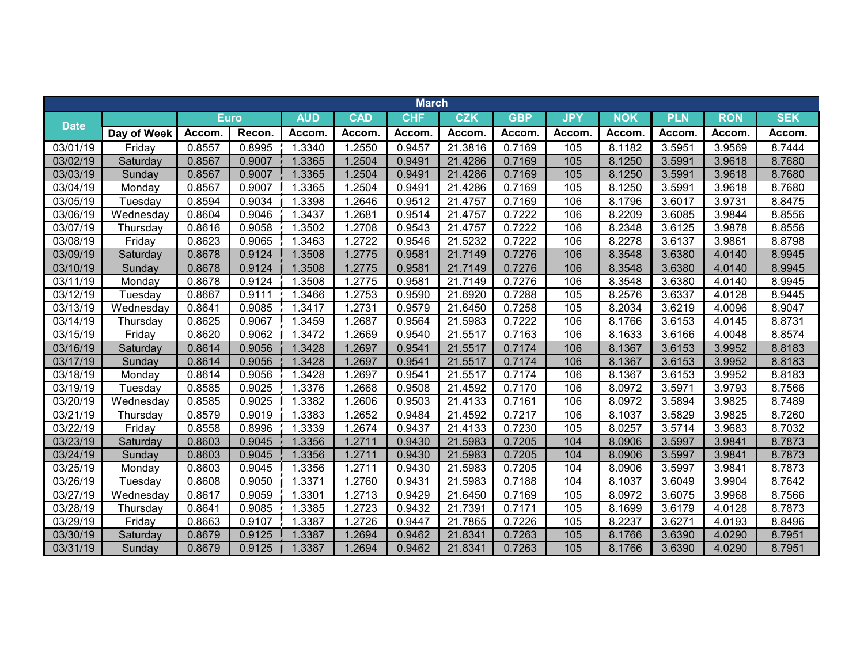|                       |             |              |        |              |              | <b>March</b> |              |            |            |            |            |              |            |
|-----------------------|-------------|--------------|--------|--------------|--------------|--------------|--------------|------------|------------|------------|------------|--------------|------------|
| <b>Date</b>           |             | <b>Euro</b>  |        | <b>AUD</b>   | <b>CAD</b>   | <b>CHF</b>   | <b>CZK</b>   | <b>GBP</b> | <b>JPY</b> | <b>NOK</b> | <b>PLN</b> | <b>RON</b>   | <b>SEK</b> |
|                       | Day of Week | <b>Accom</b> | Recon. | <b>Accom</b> | <b>Accom</b> | Accom.       | <b>Accom</b> | Accom      | Accom.     | Accom.     | Accom.     | <b>Accom</b> | Accom.     |
| 03/01/19              | Friday      | 0.8557       | 0.8995 | 1.3340       | 1.2550       | 0.9457       | 21.3816      | 0.7169     | 105        | 8.1182     | 3.5951     | 3.9569       | 8.7444     |
| 03/02/19              | Saturday    | 0.8567       | 0.9007 | 1.3365       | 1.2504       | 0.9491       | 21.4286      | 0.7169     | 105        | 8.1250     | 3.5991     | 3.9618       | 8.7680     |
| 03/03/19              | Sunday      | 0.8567       | 0.9007 | 1.3365       | 1.2504       | 0.9491       | 21.4286      | 0.7169     | 105        | 8.1250     | 3.5991     | 3.9618       | 8.7680     |
| 03/04/19              | Monday      | 0.8567       | 0.9007 | 1.3365       | 1.2504       | 0.9491       | 21.4286      | 0.7169     | 105        | 8.1250     | 3.5991     | 3.9618       | 8.7680     |
| 03/05/19              | Tuesday     | 0.8594       | 0.9034 | 1.3398       | 1.2646       | 0.9512       | 21.4757      | 0.7169     | 106        | 8.1796     | 3.6017     | 3.9731       | 8.8475     |
| 03/06/19              | Wednesday   | 0.8604       | 0.9046 | 1.3437       | 1.2681       | 0.9514       | 21.4757      | 0.7222     | 106        | 8.2209     | 3.6085     | 3.9844       | 8.8556     |
| 03/07/19              | Thursday    | 0.8616       | 0.9058 | 1.3502       | 1.2708       | 0.9543       | 21.4757      | 0.7222     | 106        | 8.2348     | 3.6125     | 3.9878       | 8.8556     |
| 03/08/19              | Friday      | 0.8623       | 0.9065 | 1.3463       | 1.2722       | 0.9546       | 21.5232      | 0.7222     | 106        | 8.2278     | 3.6137     | 3.9861       | 8.8798     |
| 03/09/19              | Saturday    | 0.8678       | 0.9124 | 1.3508       | 1.2775       | 0.9581       | 21.7149      | 0.7276     | 106        | 8.3548     | 3.6380     | 4.0140       | 8.9945     |
| 03/10/19              | Sunday      | 0.8678       | 0.9124 | 1.3508       | 1.2775       | 0.9581       | 21.7149      | 0.7276     | 106        | 8.3548     | 3.6380     | 4.0140       | 8.9945     |
| 03/11/19              | Monday      | 0.8678       | 0.9124 | 1.3508       | 1.2775       | 0.9581       | 21.7149      | 0.7276     | 106        | 8.3548     | 3.6380     | 4.0140       | 8.9945     |
| 03/12/19              | Tuesday     | 0.8667       | 0.9111 | 1.3466       | 1.2753       | 0.9590       | 21.6920      | 0.7288     | 105        | 8.2576     | 3.6337     | 4.0128       | 8.9445     |
| 03/13/19              | Wednesday   | 0.8641       | 0.9085 | 1.3417       | 1.2731       | 0.9579       | 21.6450      | 0.7258     | 105        | 8.2034     | 3.6219     | 4.0096       | 8.9047     |
| 03/14/19              | Thursday    | 0.8625       | 0.9067 | 1.3459       | 1.2687       | 0.9564       | 21.5983      | 0.7222     | 106        | 8.1766     | 3.6153     | 4.0145       | 8.8731     |
| 03/15/19              | Friday      | 0.8620       | 0.9062 | 1.3472       | 1.2669       | 0.9540       | 21.5517      | 0.7163     | 106        | 8.1633     | 3.6166     | 4.0048       | 8.8574     |
| 03/16/19              | Saturday    | 0.8614       | 0.9056 | 1.3428       | 1.2697       | 0.9541       | 21.5517      | 0.7174     | 106        | 8.1367     | 3.6153     | 3.9952       | 8.8183     |
| 03/17/19              | Sunday      | 0.8614       | 0.9056 | 1.3428       | 1.2697       | 0.9541       | 21.5517      | 0.7174     | 106        | 8.1367     | 3.6153     | 3.9952       | 8.8183     |
| 03/18/19              | Monday      | 0.8614       | 0.9056 | 1.3428       | 1.2697       | 0.9541       | 21.5517      | 0.7174     | 106        | 8.1367     | 3.6153     | 3.9952       | 8.8183     |
| 03/19/19              | Tuesday     | 0.8585       | 0.9025 | 1.3376       | 1.2668       | 0.9508       | 21.4592      | 0.7170     | 106        | 8.0972     | 3.5971     | 3.9793       | 8.7566     |
| 03/20/19              | Wednesday   | 0.8585       | 0.9025 | 1.3382       | 1.2606       | 0.9503       | 21.4133      | 0.7161     | 106        | 8.0972     | 3.5894     | 3.9825       | 8.7489     |
| 03/21/19              | Thursday    | 0.8579       | 0.9019 | 1.3383       | 1.2652       | 0.9484       | 21.4592      | 0.7217     | 106        | 8.1037     | 3.5829     | 3.9825       | 8.7260     |
| 03/22/19              | Friday      | 0.8558       | 0.8996 | 1.3339       | 1.2674       | 0.9437       | 21.4133      | 0.7230     | 105        | 8.0257     | 3.5714     | 3.9683       | 8.7032     |
| 03/23/19              | Saturday    | 0.8603       | 0.9045 | 1.3356       | 1.2711       | 0.9430       | 21.5983      | 0.7205     | 104        | 8.0906     | 3.5997     | 3.9841       | 8.7873     |
| 03/24/19              | Sunday      | 0.8603       | 0.9045 | 1.3356       | 1.2711       | 0.9430       | 21.5983      | 0.7205     | 104        | 8.0906     | 3.5997     | 3.9841       | 8.7873     |
| $\overline{03/25/19}$ | Monday      | 0.8603       | 0.9045 | 1.3356       | 1.2711       | 0.9430       | 21.5983      | 0.7205     | 104        | 8.0906     | 3.5997     | 3.9841       | 8.7873     |
| 03/26/19              | Tuesday     | 0.8608       | 0.9050 | 1.3371       | 1.2760       | 0.9431       | 21.5983      | 0.7188     | 104        | 8.1037     | 3.6049     | 3.9904       | 8.7642     |
| 03/27/19              | Wednesday   | 0.8617       | 0.9059 | 1.3301       | 1.2713       | 0.9429       | 21.6450      | 0.7169     | 105        | 8.0972     | 3.6075     | 3.9968       | 8.7566     |
| 03/28/19              | Thursday    | 0.8641       | 0.9085 | 1.3385       | 1.2723       | 0.9432       | 21.7391      | 0.7171     | 105        | 8.1699     | 3.6179     | 4.0128       | 8.7873     |
| 03/29/19              | Friday      | 0.8663       | 0.9107 | 1.3387       | 1.2726       | 0.9447       | 21.7865      | 0.7226     | 105        | 8.2237     | 3.6271     | 4.0193       | 8.8496     |
| 03/30/19              | Saturday    | 0.8679       | 0.9125 | 1.3387       | 1.2694       | 0.9462       | 21.8341      | 0.7263     | 105        | 8.1766     | 3.6390     | 4.0290       | 8.7951     |
| 03/31/19              | Sunday      | 0.8679       | 0.9125 | 1.3387       | 1.2694       | 0.9462       | 21.8341      | 0.7263     | 105        | 8.1766     | 3.6390     | 4.0290       | 8.7951     |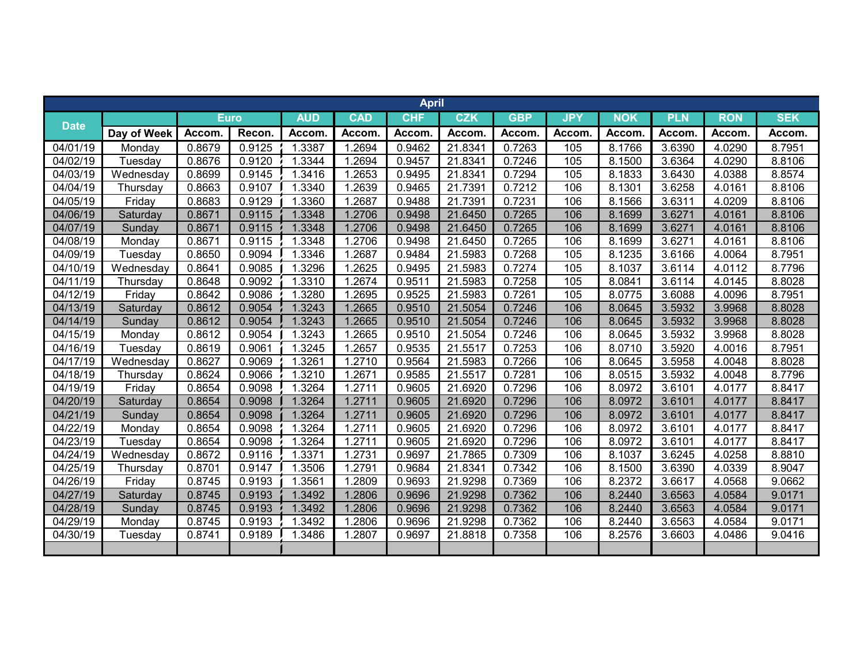|                      |             |             |        |            |            | <b>April</b> |              |            |            |            |            |              |            |
|----------------------|-------------|-------------|--------|------------|------------|--------------|--------------|------------|------------|------------|------------|--------------|------------|
| <b>Date</b>          |             | <b>Euro</b> |        | <b>AUD</b> | <b>CAD</b> | <b>CHF</b>   | <b>CZK</b>   | <b>GBP</b> | <b>JPY</b> | <b>NOK</b> | <b>PLN</b> | <b>RON</b>   | <b>SEK</b> |
|                      | Day of Week | Accom.      | Recon. | Accom      | Accom.     | <b>Accom</b> | <b>Accom</b> | Accom.     | Accom.     | Accom.     | Accom.     | <b>Accom</b> | Accom.     |
| $\frac{1}{04/01/19}$ | Monday      | 0.8679      | 0.9125 | 1.3387     | 1.2694     | 0.9462       | 21.8341      | 0.7263     | 105        | 8.1766     | 3.6390     | 4.0290       | 8.7951     |
| 04/02/19             | Tuesday     | 0.8676      | 0.9120 | 1.3344     | 1.2694     | 0.9457       | 21.8341      | 0.7246     | 105        | 8.1500     | 3.6364     | 4.0290       | 8.8106     |
| 04/03/19             | Wednesday   | 0.8699      | 0.9145 | 1.3416     | 1.2653     | 0.9495       | 21.8341      | 0.7294     | 105        | 8.1833     | 3.6430     | 4.0388       | 8.8574     |
| 04/04/19             | Thursday    | 0.8663      | 0.9107 | 1.3340     | 1.2639     | 0.9465       | 21.7391      | 0.7212     | 106        | 8.1301     | 3.6258     | 4.0161       | 8.8106     |
| 04/05/19             | Friday      | 0.8683      | 0.9129 | 1.3360     | 1.2687     | 0.9488       | 21.7391      | 0.7231     | 106        | 8.1566     | 3.6311     | 4.0209       | 8.8106     |
| 04/06/19             | Saturday    | 0.8671      | 0.9115 | 1.3348     | 1.2706     | 0.9498       | 21.6450      | 0.7265     | 106        | 8.1699     | 3.6271     | 4.0161       | 8.8106     |
| 04/07/19             | Sunday      | 0.8671      | 0.9115 | 1.3348     | 1.2706     | 0.9498       | 21.6450      | 0.7265     | 106        | 8.1699     | 3.6271     | 4.0161       | 8.8106     |
| 04/08/19             | Monday      | 0.8671      | 0.9115 | 1.3348     | 1.2706     | 0.9498       | 21.6450      | 0.7265     | 106        | 8.1699     | 3.6271     | 4.0161       | 8.8106     |
| 04/09/19             | Tuesday     | 0.8650      | 0.9094 | 1.3346     | 1.2687     | 0.9484       | 21.5983      | 0.7268     | 105        | 8.1235     | 3.6166     | 4.0064       | 8.7951     |
| 04/10/19             | Wednesday   | 0.8641      | 0.9085 | 1.3296     | 1.2625     | 0.9495       | 21.5983      | 0.7274     | 105        | 8.1037     | 3.6114     | 4.0112       | 8.7796     |
| 04/11/19             | Thursday    | 0.8648      | 0.9092 | 1.3310     | 1.2674     | 0.9511       | 21.5983      | 0.7258     | 105        | 8.0841     | 3.6114     | 4.0145       | 8.8028     |
| 04/12/19             | Friday      | 0.8642      | 0.9086 | 1.3280     | 1.2695     | 0.9525       | 21.5983      | 0.7261     | 105        | 8.0775     | 3.6088     | 4.0096       | 8.7951     |
| 04/13/19             | Saturday    | 0.8612      | 0.9054 | 1.3243     | 1.2665     | 0.9510       | 21.5054      | 0.7246     | 106        | 8.0645     | 3.5932     | 3.9968       | 8.8028     |
| 04/14/19             | Sunday      | 0.8612      | 0.9054 | 1.3243     | 1.2665     | 0.9510       | 21.5054      | 0.7246     | 106        | 8.0645     | 3.5932     | 3.9968       | 8.8028     |
| 04/15/19             | Monday      | 0.8612      | 0.9054 | 1.3243     | 1.2665     | 0.9510       | 21.5054      | 0.7246     | 106        | 8.0645     | 3.5932     | 3.9968       | 8.8028     |
| 04/16/19             | Tuesday     | 0.8619      | 0.9061 | 1.3245     | 1.2657     | 0.9535       | 21.5517      | 0.7253     | 106        | 8.0710     | 3.5920     | 4.0016       | 8.7951     |
| 04/17/19             | Wednesday   | 0.8627      | 0.9069 | 1.3261     | 1.2710     | 0.9564       | 21.5983      | 0.7266     | 106        | 8.0645     | 3.5958     | 4.0048       | 8.8028     |
| 04/18/19             | Thursday    | 0.8624      | 0.9066 | 1.3210     | 1.2671     | 0.9585       | 21.5517      | 0.7281     | 106        | 8.0515     | 3.5932     | 4.0048       | 8.7796     |
| 04/19/19             | Friday      | 0.8654      | 0.9098 | 1.3264     | 1.2711     | 0.9605       | 21.6920      | 0.7296     | 106        | 8.0972     | 3.6101     | 4.0177       | 8.8417     |
| 04/20/19             | Saturday    | 0.8654      | 0.9098 | 1.3264     | 1.2711     | 0.9605       | 21.6920      | 0.7296     | 106        | 8.0972     | 3.6101     | 4.0177       | 8.8417     |
| 04/21/19             | Sunday      | 0.8654      | 0.9098 | 1.3264     | 1.2711     | 0.9605       | 21.6920      | 0.7296     | 106        | 8.0972     | 3.6101     | 4.0177       | 8.8417     |
| 04/22/19             | Monday      | 0.8654      | 0.9098 | .3264      | 1.2711     | 0.9605       | 21.6920      | 0.7296     | 106        | 8.0972     | 3.6101     | 4.0177       | 8.8417     |
| 04/23/19             | Tuesday     | 0.8654      | 0.9098 | 1.3264     | 1.2711     | 0.9605       | 21.6920      | 0.7296     | 106        | 8.0972     | 3.6101     | 4.0177       | 8.8417     |
| 04/24/19             | Wednesday   | 0.8672      | 0.9116 | 1.3371     | 1.2731     | 0.9697       | 21.7865      | 0.7309     | 106        | 8.1037     | 3.6245     | 4.0258       | 8.8810     |
| 04/25/19             | Thursday    | 0.8701      | 0.9147 | 1.3506     | 1.2791     | 0.9684       | 21.8341      | 0.7342     | 106        | 8.1500     | 3.6390     | 4.0339       | 8.9047     |
| 04/26/19             | Friday      | 0.8745      | 0.9193 | 1.3561     | 1.2809     | 0.9693       | 21.9298      | 0.7369     | 106        | 8.2372     | 3.6617     | 4.0568       | 9.0662     |
| 04/27/19             | Saturday    | 0.8745      | 0.9193 | 1.3492     | 1.2806     | 0.9696       | 21.9298      | 0.7362     | 106        | 8.2440     | 3.6563     | 4.0584       | 9.0171     |
| 04/28/19             | Sunday      | 0.8745      | 0.9193 | 1.3492     | 1.2806     | 0.9696       | 21.9298      | 0.7362     | 106        | 8.2440     | 3.6563     | 4.0584       | 9.0171     |
| 04/29/19             | Monday      | 0.8745      | 0.9193 | 1.3492     | 1.2806     | 0.9696       | 21.9298      | 0.7362     | 106        | 8.2440     | 3.6563     | 4.0584       | 9.0171     |
| 04/30/19             | Tuesday     | 0.8741      | 0.9189 | 1.3486     | 1.2807     | 0.9697       | 21.8818      | 0.7358     | 106        | 8.2576     | 3.6603     | 4.0486       | 9.0416     |
|                      |             |             |        |            |            |              |              |            |            |            |            |              |            |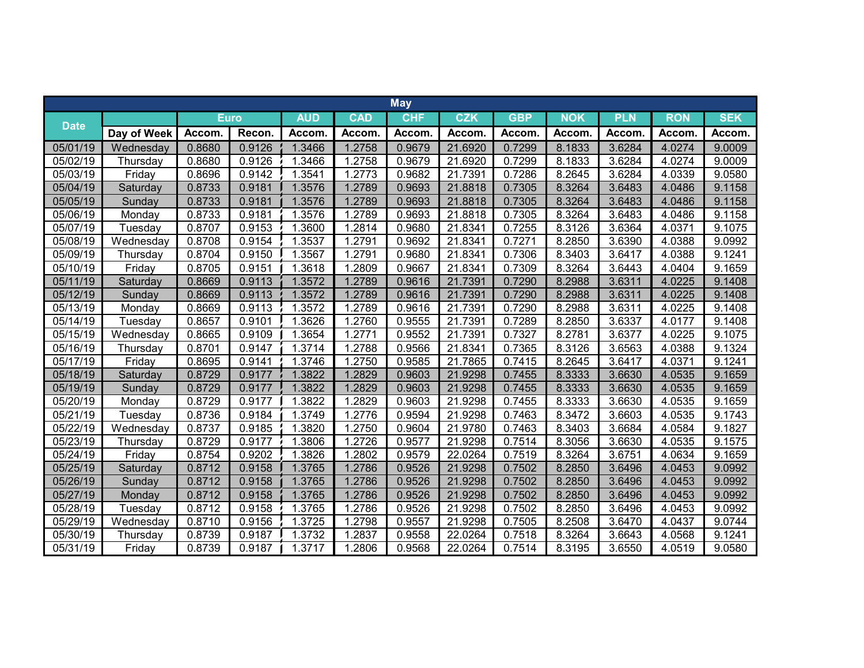|             |             |             |        |            |            | <b>May</b> |         |            |            |            |            |            |
|-------------|-------------|-------------|--------|------------|------------|------------|---------|------------|------------|------------|------------|------------|
|             |             | <b>Euro</b> |        | <b>AUD</b> | <b>CAD</b> | <b>CHF</b> | CZK     | <b>GBP</b> | <b>NOK</b> | <b>PLN</b> | <b>RON</b> | <b>SEK</b> |
| <b>Date</b> | Day of Week | Accom       | Recon. | Accom.     | Accom      | Accom.     | Accom.  | Accom.     | Accom.     | Accom.     | Accom.     | Accom.     |
| 05/01/19    | Wednesday   | 0.8680      | 0.9126 | 1.3466     | 1.2758     | 0.9679     | 21.6920 | 0.7299     | 8.1833     | 3.6284     | 4.0274     | 9.0009     |
| 05/02/19    | Thursday    | 0.8680      | 0.9126 | 1.3466     | 1.2758     | 0.9679     | 21.6920 | 0.7299     | 8.1833     | 3.6284     | 4.0274     | 9.0009     |
| 05/03/19    | Friday      | 0.8696      | 0.9142 | 1.3541     | 1.2773     | 0.9682     | 21.7391 | 0.7286     | 8.2645     | 3.6284     | 4.0339     | 9.0580     |
| 05/04/19    | Saturday    | 0.8733      | 0.9181 | 1.3576     | 1.2789     | 0.9693     | 21.8818 | 0.7305     | 8.3264     | 3.6483     | 4.0486     | 9.1158     |
| 05/05/19    | Sunday      | 0.8733      | 0.9181 | 1.3576     | 1.2789     | 0.9693     | 21.8818 | 0.7305     | 8.3264     | 3.6483     | 4.0486     | 9.1158     |
| 05/06/19    | Monday      | 0.8733      | 0.9181 | 1.3576     | 1.2789     | 0.9693     | 21.8818 | 0.7305     | 8.3264     | 3.6483     | 4.0486     | 9.1158     |
| 05/07/19    | Tuesday     | 0.8707      | 0.9153 | 1.3600     | 1.2814     | 0.9680     | 21.8341 | 0.7255     | 8.3126     | 3.6364     | 4.0371     | 9.1075     |
| 05/08/19    | Wednesday   | 0.8708      | 0.9154 | 1.3537     | 1.2791     | 0.9692     | 21.8341 | 0.7271     | 8.2850     | 3.6390     | 4.0388     | 9.0992     |
| 05/09/19    | Thursday    | 0.8704      | 0.9150 | 1.3567     | 1.2791     | 0.9680     | 21.8341 | 0.7306     | 8.3403     | 3.6417     | 4.0388     | 9.1241     |
| 05/10/19    | Friday      | 0.8705      | 0.9151 | 1.3618     | 1.2809     | 0.9667     | 21.8341 | 0.7309     | 8.3264     | 3.6443     | 4.0404     | 9.1659     |
| 05/11/19    | Saturday    | 0.8669      | 0.9113 | 1.3572     | 1.2789     | 0.9616     | 21.7391 | 0.7290     | 8.2988     | 3.6311     | 4.0225     | 9.1408     |
| 05/12/19    | Sunday      | 0.8669      | 0.9113 | 1.3572     | 1.2789     | 0.9616     | 21.7391 | 0.7290     | 8.2988     | 3.6311     | 4.0225     | 9.1408     |
| 05/13/19    | Monday      | 0.8669      | 0.9113 | 1.3572     | 1.2789     | 0.9616     | 21.7391 | 0.7290     | 8.2988     | 3.6311     | 4.0225     | 9.1408     |
| 05/14/19    | Tuesday     | 0.8657      | 0.9101 | 1.3626     | 1.2760     | 0.9555     | 21.7391 | 0.7289     | 8.2850     | 3.6337     | 4.0177     | 9.1408     |
| 05/15/19    | Wednesday   | 0.8665      | 0.9109 | 1.3654     | 1.2771     | 0.9552     | 21.7391 | 0.7327     | 8.2781     | 3.6377     | 4.0225     | 9.1075     |
| 05/16/19    | Thursday    | 0.8701      | 0.9147 | 1.3714     | 1.2788     | 0.9566     | 21.8341 | 0.7365     | 8.3126     | 3.6563     | 4.0388     | 9.1324     |
| 05/17/19    | Friday      | 0.8695      | 0.9141 | 1.3746     | 1.2750     | 0.9585     | 21.7865 | 0.7415     | 8.2645     | 3.6417     | 4.0371     | 9.1241     |
| 05/18/19    | Saturday    | 0.8729      | 0.9177 | 1.3822     | 1.2829     | 0.9603     | 21.9298 | 0.7455     | 8.3333     | 3.6630     | 4.0535     | 9.1659     |
| 05/19/19    | Sunday      | 0.8729      | 0.9177 | 1.3822     | 1.2829     | 0.9603     | 21.9298 | 0.7455     | 8.3333     | 3.6630     | 4.0535     | 9.1659     |
| 05/20/19    | Monday      | 0.8729      | 0.9177 | 1.3822     | 1.2829     | 0.9603     | 21.9298 | 0.7455     | 8.3333     | 3.6630     | 4.0535     | 9.1659     |
| 05/21/19    | Tuesday     | 0.8736      | 0.9184 | 1.3749     | 1.2776     | 0.9594     | 21.9298 | 0.7463     | 8.3472     | 3.6603     | 4.0535     | 9.1743     |
| 05/22/19    | Wednesday   | 0.8737      | 0.9185 | 1.3820     | 1.2750     | 0.9604     | 21.9780 | 0.7463     | 8.3403     | 3.6684     | 4.0584     | 9.1827     |
| 05/23/19    | Thursday    | 0.8729      | 0.9177 | .3806      | 1.2726     | 0.9577     | 21.9298 | 0.7514     | 8.3056     | 3.6630     | 4.0535     | 9.1575     |
| 05/24/19    | Friday      | 0.8754      | 0.9202 | 1.3826     | 1.2802     | 0.9579     | 22.0264 | 0.7519     | 8.3264     | 3.6751     | 4.0634     | 9.1659     |
| 05/25/19    | Saturday    | 0.8712      | 0.9158 | 1.3765     | 1.2786     | 0.9526     | 21.9298 | 0.7502     | 8.2850     | 3.6496     | 4.0453     | 9.0992     |
| 05/26/19    | Sunday      | 0.8712      | 0.9158 | 1.3765     | 1.2786     | 0.9526     | 21.9298 | 0.7502     | 8.2850     | 3.6496     | 4.0453     | 9.0992     |
| 05/27/19    | Monday      | 0.8712      | 0.9158 | 1.3765     | 1.2786     | 0.9526     | 21.9298 | 0.7502     | 8.2850     | 3.6496     | 4.0453     | 9.0992     |
| 05/28/19    | Tuesday     | 0.8712      | 0.9158 | 1.3765     | 1.2786     | 0.9526     | 21.9298 | 0.7502     | 8.2850     | 3.6496     | 4.0453     | 9.0992     |
| 05/29/19    | Wednesday   | 0.8710      | 0.9156 | 1.3725     | 1.2798     | 0.9557     | 21.9298 | 0.7505     | 8.2508     | 3.6470     | 4.0437     | 9.0744     |
| 05/30/19    | Thursday    | 0.8739      | 0.9187 | 1.3732     | 1.2837     | 0.9558     | 22.0264 | 0.7518     | 8.3264     | 3.6643     | 4.0568     | 9.1241     |
| 05/31/19    | Friday      | 0.8739      | 0.9187 | 1.3717     | 1.2806     | 0.9568     | 22.0264 | 0.7514     | 8.3195     | 3.6550     | 4.0519     | 9.0580     |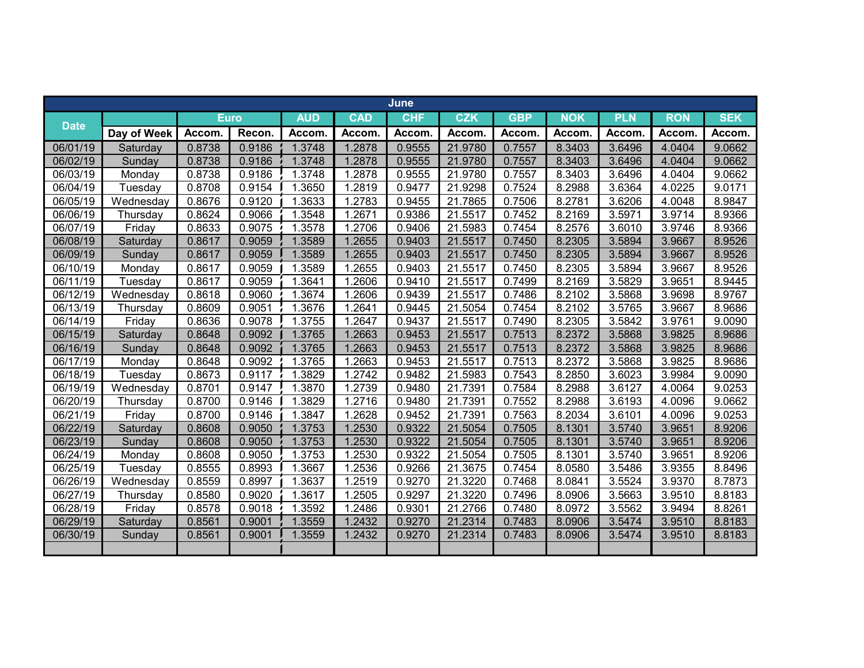|             |             |             |        |            |                     | June       |            |              |              |            |              |            |
|-------------|-------------|-------------|--------|------------|---------------------|------------|------------|--------------|--------------|------------|--------------|------------|
| <b>Date</b> |             | <b>Euro</b> |        | <b>AUD</b> | <b>CAD</b>          | <b>CHF</b> | <b>CZK</b> | <b>GBP</b>   | <b>NOK</b>   | <b>PLN</b> | <b>RON</b>   | <b>SEK</b> |
|             | Day of Week | Accom.      | Recon. | Accom      | <b>Accom</b>        | Accom.     | Accom      | <b>Accom</b> | <b>Accom</b> | Accom      | <b>Accom</b> | Accom.     |
| 06/01/19    | Saturday    | 0.8738      | 0.9186 | 1.3748     | 1.2878              | 0.9555     | 21.9780    | 0.7557       | 8.3403       | 3.6496     | 4.0404       | 9.0662     |
| 06/02/19    | Sunday      | 0.8738      | 0.9186 | 1.3748     | 1.2878              | 0.9555     | 21.9780    | 0.7557       | 8.3403       | 3.6496     | 4.0404       | 9.0662     |
| 06/03/19    | Monday      | 0.8738      | 0.9186 | 1.3748     | 1.2878              | 0.9555     | 21.9780    | 0.7557       | 8.3403       | 3.6496     | 4.0404       | 9.0662     |
| 06/04/19    | Tuesday     | 0.8708      | 0.9154 | 1.3650     | 1.2819              | 0.9477     | 21.9298    | 0.7524       | 8.2988       | 3.6364     | 4.0225       | 9.0171     |
| 06/05/19    | Wednesday   | 0.8676      | 0.9120 | 1.3633     | 1.2783              | 0.9455     | 21.7865    | 0.7506       | 8.2781       | 3.6206     | 4.0048       | 8.9847     |
| 06/06/19    | Thursday    | 0.8624      | 0.9066 | 1.3548     | 1.2671              | 0.9386     | 21.5517    | 0.7452       | 8.2169       | 3.5971     | 3.9714       | 8.9366     |
| 06/07/19    | Friday      | 0.8633      | 0.9075 | 1.3578     | 1.2706              | 0.9406     | 21.5983    | 0.7454       | 8.2576       | 3.6010     | 3.9746       | 8.9366     |
| 06/08/19    | Saturday    | 0.8617      | 0.9059 | 1.3589     | 1.2655              | 0.9403     | 21.5517    | 0.7450       | 8.2305       | 3.5894     | 3.9667       | 8.9526     |
| 06/09/19    | Sunday      | 0.8617      | 0.9059 | 1.3589     | 1.2655              | 0.9403     | 21.5517    | 0.7450       | 8.2305       | 3.5894     | 3.9667       | 8.9526     |
| 06/10/19    | Monday      | 0.8617      | 0.9059 | 1.3589     | 1.2655              | 0.9403     | 21.5517    | 0.7450       | 8.2305       | 3.5894     | 3.9667       | 8.9526     |
| 06/11/19    | Tuesday     | 0.8617      | 0.9059 | 1.3641     | 1.2606              | 0.9410     | 21.5517    | 0.7499       | 8.2169       | 3.5829     | 3.9651       | 8.9445     |
| 06/12/19    | Wednesday   | 0.8618      | 0.9060 | 1.3674     | 1.2606              | 0.9439     | 21.5517    | 0.7486       | 8.2102       | 3.5868     | 3.9698       | 8.9767     |
| 06/13/19    | Thursday    | 0.8609      | 0.9051 | 1.3676     | 1.2641              | 0.9445     | 21.5054    | 0.7454       | 8.2102       | 3.5765     | 3.9667       | 8.9686     |
| 06/14/19    | Friday      | 0.8636      | 0.9078 | 1.3755     | $\overline{1.2647}$ | 0.9437     | 21.5517    | 0.7490       | 8.2305       | 3.5842     | 3.9761       | 9.0090     |
| 06/15/19    | Saturday    | 0.8648      | 0.9092 | 1.3765     | 1.2663              | 0.9453     | 21.5517    | 0.7513       | 8.2372       | 3.5868     | 3.9825       | 8.9686     |
| 06/16/19    | Sunday      | 0.8648      | 0.9092 | 1.3765     | 1.2663              | 0.9453     | 21.5517    | 0.7513       | 8.2372       | 3.5868     | 3.9825       | 8.9686     |
| 06/17/19    | Monday      | 0.8648      | 0.9092 | 1.3765     | 1.2663              | 0.9453     | 21.5517    | 0.7513       | 8.2372       | 3.5868     | 3.9825       | 8.9686     |
| 06/18/19    | Tuesday     | 0.8673      | 0.9117 | 1.3829     | 1.2742              | 0.9482     | 21.5983    | 0.7543       | 8.2850       | 3.6023     | 3.9984       | 9.0090     |
| 06/19/19    | Wednesday   | 0.8701      | 0.9147 | 1.3870     | 1.2739              | 0.9480     | 21.7391    | 0.7584       | 8.2988       | 3.6127     | 4.0064       | 9.0253     |
| 06/20/19    | Thursday    | 0.8700      | 0.9146 | 1.3829     | 1.2716              | 0.9480     | 21.7391    | 0.7552       | 8.2988       | 3.6193     | 4.0096       | 9.0662     |
| 06/21/19    | Friday      | 0.8700      | 0.9146 | 1.3847     | 1.2628              | 0.9452     | 21.7391    | 0.7563       | 8.2034       | 3.6101     | 4.0096       | 9.0253     |
| 06/22/19    | Saturday    | 0.8608      | 0.9050 | 1.3753     | 1.2530              | 0.9322     | 21.5054    | 0.7505       | 8.1301       | 3.5740     | 3.9651       | 8.9206     |
| 06/23/19    | Sunday      | 0.8608      | 0.9050 | 1.3753     | 1.2530              | 0.9322     | 21.5054    | 0.7505       | 8.1301       | 3.5740     | 3.9651       | 8.9206     |
| 06/24/19    | Monday      | 0.8608      | 0.9050 | 1.3753     | 1.2530              | 0.9322     | 21.5054    | 0.7505       | 8.1301       | 3.5740     | 3.9651       | 8.9206     |
| 06/25/19    | Tuesday     | 0.8555      | 0.8993 | 1.3667     | 1.2536              | 0.9266     | 21.3675    | 0.7454       | 8.0580       | 3.5486     | 3.9355       | 8.8496     |
| 06/26/19    | Wednesday   | 0.8559      | 0.8997 | 1.3637     | 1.2519              | 0.9270     | 21.3220    | 0.7468       | 8.0841       | 3.5524     | 3.9370       | 8.7873     |
| 06/27/19    | Thursday    | 0.8580      | 0.9020 | 1.3617     | 1.2505              | 0.9297     | 21.3220    | 0.7496       | 8.0906       | 3.5663     | 3.9510       | 8.8183     |
| 06/28/19    | Friday      | 0.8578      | 0.9018 | 1.3592     | 1.2486              | 0.9301     | 21.2766    | 0.7480       | 8.0972       | 3.5562     | 3.9494       | 8.8261     |
| 06/29/19    | Saturday    | 0.8561      | 0.9001 | 1.3559     | 1.2432              | 0.9270     | 21.2314    | 0.7483       | 8.0906       | 3.5474     | 3.9510       | 8.8183     |
| 06/30/19    | Sunday      | 0.8561      | 0.9001 | 1.3559     | 1.2432              | 0.9270     | 21.2314    | 0.7483       | 8.0906       | 3.5474     | 3.9510       | 8.8183     |
|             |             |             |        |            |                     |            |            |              |              |            |              |            |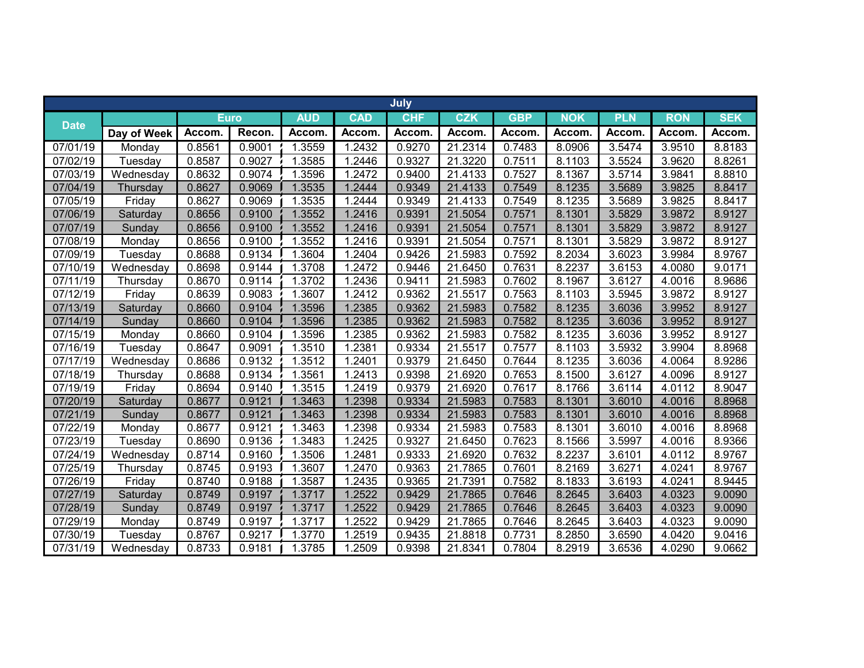|                       |             |        |             |            |            | July       |            |            |              |            |            |            |
|-----------------------|-------------|--------|-------------|------------|------------|------------|------------|------------|--------------|------------|------------|------------|
|                       |             |        | <b>Euro</b> | <b>AUD</b> | <b>CAD</b> | <b>CHF</b> | <b>CZK</b> | <b>GBP</b> | <b>NOK</b>   | <b>PLN</b> | <b>RON</b> | <b>SEK</b> |
| <b>Date</b>           | Day of Week | Accom. | Recon.      | Accom.     | Accom.     | Accom.     | Accom.     | Accom.     | <b>Accom</b> | Accom.     | Accom      | Accom.     |
| 07/01/19              | Monday      | 0.8561 | 0.9001      | 1.3559     | 1.2432     | 0.9270     | 21.2314    | 0.7483     | 8.0906       | 3.5474     | 3.9510     | 8.8183     |
| 07/02/19              | Tuesday     | 0.8587 | 0.9027      | 1.3585     | 1.2446     | 0.9327     | 21.3220    | 0.7511     | 8.1103       | 3.5524     | 3.9620     | 8.8261     |
| 07/03/19              | Wednesday   | 0.8632 | 0.9074      | 1.3596     | 1.2472     | 0.9400     | 21.4133    | 0.7527     | 8.1367       | 3.5714     | 3.9841     | 8.8810     |
| 07/04/19              | Thursday    | 0.8627 | 0.9069      | 1.3535     | 1.2444     | 0.9349     | 21.4133    | 0.7549     | 8.1235       | 3.5689     | 3.9825     | 8.8417     |
| 07/05/19              | Friday      | 0.8627 | 0.9069      | 1.3535     | 1.2444     | 0.9349     | 21.4133    | 0.7549     | 8.1235       | 3.5689     | 3.9825     | 8.8417     |
| 07/06/19              | Saturday    | 0.8656 | 0.9100      | 1.3552     | 1.2416     | 0.9391     | 21.5054    | 0.7571     | 8.1301       | 3.5829     | 3.9872     | 8.9127     |
| 07/07/19              | Sunday      | 0.8656 | 0.9100      | 1.3552     | 1.2416     | 0.9391     | 21.5054    | 0.7571     | 8.1301       | 3.5829     | 3.9872     | 8.9127     |
| 07/08/19              | Monday      | 0.8656 | 0.9100      | 1.3552     | 1.2416     | 0.9391     | 21.5054    | 0.7571     | 8.1301       | 3.5829     | 3.9872     | 8.9127     |
| 07/09/19              | Tuesday     | 0.8688 | 0.9134      | 1.3604     | 1.2404     | 0.9426     | 21.5983    | 0.7592     | 8.2034       | 3.6023     | 3.9984     | 8.9767     |
| 07/10/19              | Wednesday   | 0.8698 | 0.9144      | 1.3708     | 1.2472     | 0.9446     | 21.6450    | 0.7631     | 8.2237       | 3.6153     | 4.0080     | 9.0171     |
| 07/11/19              | Thursday    | 0.8670 | 0.9114      | 1.3702     | 1.2436     | 0.9411     | 21.5983    | 0.7602     | 8.1967       | 3.6127     | 4.0016     | 8.9686     |
| 07/12/19              | Friday      | 0.8639 | 0.9083      | 1.3607     | 1.2412     | 0.9362     | 21.5517    | 0.7563     | 8.1103       | 3.5945     | 3.9872     | 8.9127     |
| 07/13/19              | Saturday    | 0.8660 | 0.9104      | 1.3596     | 1.2385     | 0.9362     | 21.5983    | 0.7582     | 8.1235       | 3.6036     | 3.9952     | 8.9127     |
| 07/14/19              | Sunday      | 0.8660 | 0.9104      | 1.3596     | 1.2385     | 0.9362     | 21.5983    | 0.7582     | 8.1235       | 3.6036     | 3.9952     | 8.9127     |
| 07/15/19              | Monday      | 0.8660 | 0.9104      | 1.3596     | 1.2385     | 0.9362     | 21.5983    | 0.7582     | 8.1235       | 3.6036     | 3.9952     | 8.9127     |
| 07/16/19              | Tuesday     | 0.8647 | 0.9091      | 1.3510     | 1.2381     | 0.9334     | 21.5517    | 0.7577     | 8.1103       | 3.5932     | 3.9904     | 8.8968     |
| 07/17/19              | Wednesday   | 0.8686 | 0.9132      | 1.3512     | 1.2401     | 0.9379     | 21.6450    | 0.7644     | 8.1235       | 3.6036     | 4.0064     | 8.9286     |
| 07/18/19              | Thursday    | 0.8688 | 0.9134      | 1.3561     | 1.2413     | 0.9398     | 21.6920    | 0.7653     | 8.1500       | 3.6127     | 4.0096     | 8.9127     |
| 07/19/19              | Friday      | 0.8694 | 0.9140      | 1.3515     | 1.2419     | 0.9379     | 21.6920    | 0.7617     | 8.1766       | 3.6114     | 4.0112     | 8.9047     |
| 07/20/19              | Saturday    | 0.8677 | 0.9121      | 1.3463     | 1.2398     | 0.9334     | 21.5983    | 0.7583     | 8.1301       | 3.6010     | 4.0016     | 8.8968     |
| 07/21/19              | Sunday      | 0.8677 | 0.9121      | 1.3463     | 1.2398     | 0.9334     | 21.5983    | 0.7583     | 8.1301       | 3.6010     | 4.0016     | 8.8968     |
| 07/22/19              | Monday      | 0.8677 | 0.9121      | 1.3463     | 1.2398     | 0.9334     | 21.5983    | 0.7583     | 8.1301       | 3.6010     | 4.0016     | 8.8968     |
| 07/23/19              | Tuesday     | 0.8690 | 0.9136      | 1.3483     | 1.2425     | 0.9327     | 21.6450    | 0.7623     | 8.1566       | 3.5997     | 4.0016     | 8.9366     |
| 07/24/19              | Wednesday   | 0.8714 | 0.9160      | 1.3506     | 1.2481     | 0.9333     | 21.6920    | 0.7632     | 8.2237       | 3.6101     | 4.0112     | 8.9767     |
| 07/25/19              | Thursday    | 0.8745 | 0.9193      | 1.3607     | 1.2470     | 0.9363     | 21.7865    | 0.7601     | 8.2169       | 3.6271     | 4.0241     | 8.9767     |
| 07/26/19              | Friday      | 0.8740 | 0.9188      | 1.3587     | 1.2435     | 0.9365     | 21.7391    | 0.7582     | 8.1833       | 3.6193     | 4.0241     | 8.9445     |
| 07/27/19              | Saturday    | 0.8749 | 0.9197      | 1.3717     | 1.2522     | 0.9429     | 21.7865    | 0.7646     | 8.2645       | 3.6403     | 4.0323     | 9.0090     |
| 07/28/19              | Sunday      | 0.8749 | 0.9197      | 1.3717     | 1.2522     | 0.9429     | 21.7865    | 0.7646     | 8.2645       | 3.6403     | 4.0323     | 9.0090     |
| $\overline{07/29/19}$ | Monday      | 0.8749 | 0.9197      | 1.3717     | 1.2522     | 0.9429     | 21.7865    | 0.7646     | 8.2645       | 3.6403     | 4.0323     | 9.0090     |
| 07/30/19              | Tuesday     | 0.8767 | 0.9217      | 1.3770     | 1.2519     | 0.9435     | 21.8818    | 0.7731     | 8.2850       | 3.6590     | 4.0420     | 9.0416     |
| 07/31/19              | Wednesday   | 0.8733 | 0.9181      | 1.3785     | 1.2509     | 0.9398     | 21.8341    | 0.7804     | 8.2919       | 3.6536     | 4.0290     | 9.0662     |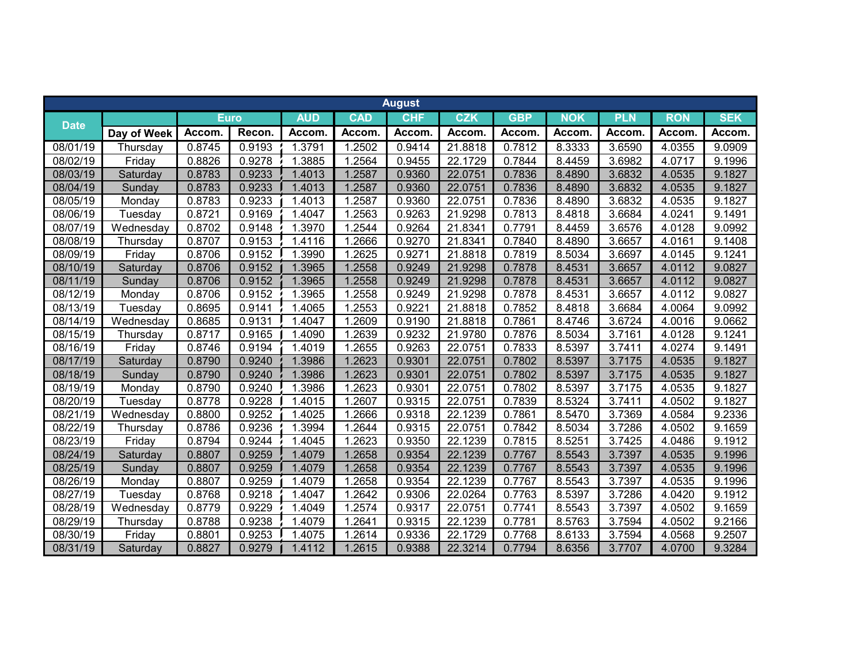|                       |             |              |             |            |              | <b>August</b> |            |            |            |            |            |            |
|-----------------------|-------------|--------------|-------------|------------|--------------|---------------|------------|------------|------------|------------|------------|------------|
|                       |             |              | <b>Euro</b> | <b>AUD</b> | <b>CAD</b>   | <b>CHF</b>    | <b>CZK</b> | <b>GBP</b> | <b>NOK</b> | <b>PLN</b> | <b>RON</b> | <b>SEK</b> |
| <b>Date</b>           | Day of Week | <b>Accom</b> | Recon.      | Accom.     | <b>Accom</b> | Accom.        | Accom.     | Accom.     | Accom.     | Accom      | Accom.     | Accom.     |
| 08/01/19              | Thursday    | 0.8745       | 0.9193      | 1.3791     | 1.2502       | 0.9414        | 21.8818    | 0.7812     | 8.3333     | 3.6590     | 4.0355     | 9.0909     |
| 08/02/19              | Friday      | 0.8826       | 0.9278      | 1.3885     | 1.2564       | 0.9455        | 22.1729    | 0.7844     | 8.4459     | 3.6982     | 4.0717     | 9.1996     |
| 08/03/19              | Saturday    | 0.8783       | 0.9233      | 1.4013     | 1.2587       | 0.9360        | 22.0751    | 0.7836     | 8.4890     | 3.6832     | 4.0535     | 9.1827     |
| 08/04/19              | Sunday      | 0.8783       | 0.9233      | 1.4013     | 1.2587       | 0.9360        | 22.0751    | 0.7836     | 8.4890     | 3.6832     | 4.0535     | 9.1827     |
| 08/05/19              | Monday      | 0.8783       | 0.9233      | 1.4013     | 1.2587       | 0.9360        | 22.0751    | 0.7836     | 8.4890     | 3.6832     | 4.0535     | 9.1827     |
| 08/06/19              | Tuesday     | 0.8721       | 0.9169      | 1.4047     | 1.2563       | 0.9263        | 21.9298    | 0.7813     | 8.4818     | 3.6684     | 4.0241     | 9.1491     |
| 08/07/19              | Wednesday   | 0.8702       | 0.9148      | 1.3970     | 1.2544       | 0.9264        | 21.8341    | 0.7791     | 8.4459     | 3.6576     | 4.0128     | 9.0992     |
| 08/08/19              | Thursday    | 0.8707       | 0.9153      | 1.4116     | 1.2666       | 0.9270        | 21.8341    | 0.7840     | 8.4890     | 3.6657     | 4.0161     | 9.1408     |
| 08/09/19              | Friday      | 0.8706       | 0.9152      | 1.3990     | 1.2625       | 0.9271        | 21.8818    | 0.7819     | 8.5034     | 3.6697     | 4.0145     | 9.1241     |
| 08/10/19              | Saturday    | 0.8706       | 0.9152      | 1.3965     | 1.2558       | 0.9249        | 21.9298    | 0.7878     | 8.4531     | 3.6657     | 4.0112     | 9.0827     |
| 08/11/19              | Sunday      | 0.8706       | 0.9152      | 1.3965     | 1.2558       | 0.9249        | 21.9298    | 0.7878     | 8.4531     | 3.6657     | 4.0112     | 9.0827     |
| 08/12/19              | Monday      | 0.8706       | 0.9152      | 1.3965     | 1.2558       | 0.9249        | 21.9298    | 0.7878     | 8.4531     | 3.6657     | 4.0112     | 9.0827     |
| 08/13/19              | Tuesday     | 0.8695       | 0.9141      | 1.4065     | 1.2553       | 0.9221        | 21.8818    | 0.7852     | 8.4818     | 3.6684     | 4.0064     | 9.0992     |
| 08/14/19              | Wednesday   | 0.8685       | 0.9131      | 1.4047     | 1.2609       | 0.9190        | 21.8818    | 0.7861     | 8.4746     | 3.6724     | 4.0016     | 9.0662     |
| 08/15/19              | Thursday    | 0.8717       | 0.9165      | 1.4090     | 1.2639       | 0.9232        | 21.9780    | 0.7876     | 8.5034     | 3.7161     | 4.0128     | 9.1241     |
| 08/16/19              | Friday      | 0.8746       | 0.9194      | 1.4019     | 1.2655       | 0.9263        | 22.0751    | 0.7833     | 8.5397     | 3.7411     | 4.0274     | 9.1491     |
| 08/17/19              | Saturday    | 0.8790       | 0.9240      | 1.3986     | 1.2623       | 0.9301        | 22.0751    | 0.7802     | 8.5397     | 3.7175     | 4.0535     | 9.1827     |
| 08/18/19              | Sunday      | 0.8790       | 0.9240      | 1.3986     | 1.2623       | 0.9301        | 22.0751    | 0.7802     | 8.5397     | 3.7175     | 4.0535     | 9.1827     |
| 08/19/19              | Monday      | 0.8790       | 0.9240      | 1.3986     | 1.2623       | 0.9301        | 22.0751    | 0.7802     | 8.5397     | 3.7175     | 4.0535     | 9.1827     |
| 08/20/19              | Tuesday     | 0.8778       | 0.9228      | 1.4015     | 1.2607       | 0.9315        | 22.0751    | 0.7839     | 8.5324     | 3.7411     | 4.0502     | 9.1827     |
| 08/21/19              | Wednesday   | 0.8800       | 0.9252      | 1.4025     | 1.2666       | 0.9318        | 22.1239    | 0.7861     | 8.5470     | 3.7369     | 4.0584     | 9.2336     |
| 08/22/19              | Thursday    | 0.8786       | 0.9236      | 1.3994     | 1.2644       | 0.9315        | 22.0751    | 0.7842     | 8.5034     | 3.7286     | 4.0502     | 9.1659     |
| $\overline{08}/23/19$ | Friday      | 0.8794       | 0.9244      | 1.4045     | 1.2623       | 0.9350        | 22.1239    | 0.7815     | 8.5251     | 3.7425     | 4.0486     | 9.1912     |
| 08/24/19              | Saturday    | 0.8807       | 0.9259      | 1.4079     | 1.2658       | 0.9354        | 22.1239    | 0.7767     | 8.5543     | 3.7397     | 4.0535     | 9.1996     |
| 08/25/19              | Sunday      | 0.8807       | 0.9259      | 1.4079     | 1.2658       | 0.9354        | 22.1239    | 0.7767     | 8.5543     | 3.7397     | 4.0535     | 9.1996     |
| 08/26/19              | Monday      | 0.8807       | 0.9259      | 1.4079     | 1.2658       | 0.9354        | 22.1239    | 0.7767     | 8.5543     | 3.7397     | 4.0535     | 9.1996     |
| 08/27/19              | Tuesday     | 0.8768       | 0.9218      | 1.4047     | 1.2642       | 0.9306        | 22.0264    | 0.7763     | 8.5397     | 3.7286     | 4.0420     | 9.1912     |
| 08/28/19              | Wednesday   | 0.8779       | 0.9229      | 1.4049     | 1.2574       | 0.9317        | 22.0751    | 0.7741     | 8.5543     | 3.7397     | 4.0502     | 9.1659     |
| 08/29/19              | Thursday    | 0.8788       | 0.9238      | 1.4079     | 1.2641       | 0.9315        | 22.1239    | 0.7781     | 8.5763     | 3.7594     | 4.0502     | 9.2166     |
| 08/30/19              | Friday      | 0.8801       | 0.9253      | 1.4075     | .2614        | 0.9336        | 22.1729    | 0.7768     | 8.6133     | 3.7594     | 4.0568     | 9.2507     |
| 08/31/19              | Saturday    | 0.8827       | 0.9279      | 1.4112     | 1.2615       | 0.9388        | 22.3214    | 0.7794     | 8.6356     | 3.7707     | 4.0700     | 9.3284     |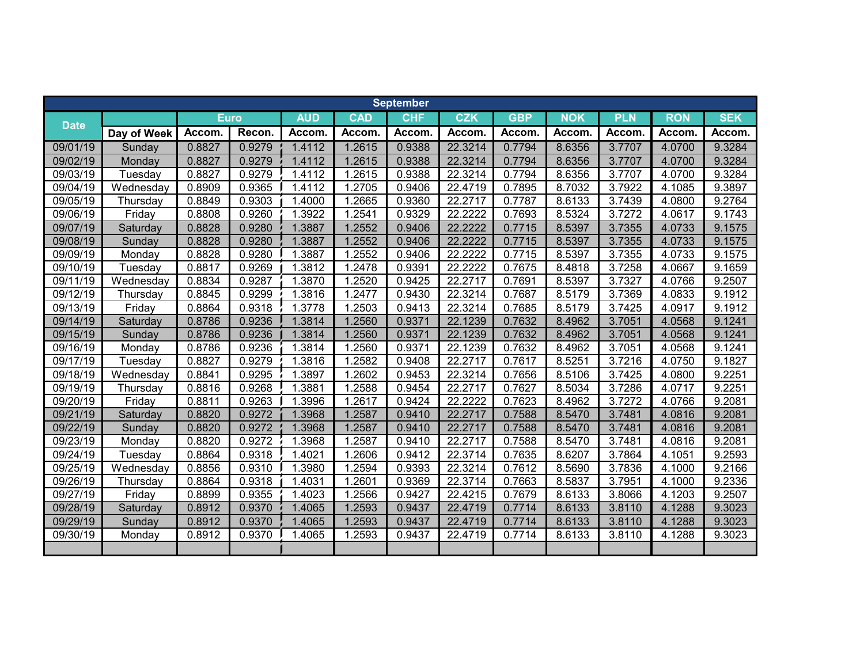|             |             |        |        |            |              | <b>September</b> |            |            |              |            |            |            |
|-------------|-------------|--------|--------|------------|--------------|------------------|------------|------------|--------------|------------|------------|------------|
|             |             | Euro   |        | <b>AUD</b> | <b>CAD</b>   | <b>CHF</b>       | <b>CZK</b> | <b>GBP</b> | <b>NOK</b>   | <b>PLN</b> | <b>RON</b> | <b>SEK</b> |
| <b>Date</b> | Day of Week | Accom. | Recon. | Accom.     | <b>Accom</b> | Accom.           | Accom.     | Accom.     | <b>Accom</b> | Accom      | Accom.     | Accom.     |
| 09/01/19    | Sunday      | 0.8827 | 0.9279 | 1.4112     | 1.2615       | 0.9388           | 22.3214    | 0.7794     | 8.6356       | 3.7707     | 4.0700     | 9.3284     |
| 09/02/19    | Monday      | 0.8827 | 0.9279 | 1.4112     | 1.2615       | 0.9388           | 22.3214    | 0.7794     | 8.6356       | 3.7707     | 4.0700     | 9.3284     |
| 09/03/19    | Tuesday     | 0.8827 | 0.9279 | 1.4112     | 1.2615       | 0.9388           | 22.3214    | 0.7794     | 8.6356       | 3.7707     | 4.0700     | 9.3284     |
| 09/04/19    | Wednesday   | 0.8909 | 0.9365 | 1.4112     | 1.2705       | 0.9406           | 22.4719    | 0.7895     | 8.7032       | 3.7922     | 4.1085     | 9.3897     |
| 09/05/19    | Thursday    | 0.8849 | 0.9303 | 1.4000     | 1.2665       | 0.9360           | 22.2717    | 0.7787     | 8.6133       | 3.7439     | 4.0800     | 9.2764     |
| 09/06/19    | Friday      | 0.8808 | 0.9260 | 1.3922     | 1.2541       | 0.9329           | 22.2222    | 0.7693     | 8.5324       | 3.7272     | 4.0617     | 9.1743     |
| 09/07/19    | Saturday    | 0.8828 | 0.9280 | 1.3887     | 1.2552       | 0.9406           | 22.2222    | 0.7715     | 8.5397       | 3.7355     | 4.0733     | 9.1575     |
| 09/08/19    | Sunday      | 0.8828 | 0.9280 | 1.3887     | 1.2552       | 0.9406           | 22.2222    | 0.7715     | 8.5397       | 3.7355     | 4.0733     | 9.1575     |
| 09/09/19    | Monday      | 0.8828 | 0.9280 | 1.3887     | 1.2552       | 0.9406           | 22.2222    | 0.7715     | 8.5397       | 3.7355     | 4.0733     | 9.1575     |
| 09/10/19    | Tuesday     | 0.8817 | 0.9269 | 1.3812     | 1.2478       | 0.9391           | 22.2222    | 0.7675     | 8.4818       | 3.7258     | 4.0667     | 9.1659     |
| 09/11/19    | Wednesday   | 0.8834 | 0.9287 | 1.3870     | 1.2520       | 0.9425           | 22.2717    | 0.7691     | 8.5397       | 3.7327     | 4.0766     | 9.2507     |
| 09/12/19    | Thursday    | 0.8845 | 0.9299 | 1.3816     | 1.2477       | 0.9430           | 22.3214    | 0.7687     | 8.5179       | 3.7369     | 4.0833     | 9.1912     |
| 09/13/19    | Friday      | 0.8864 | 0.9318 | 1.3778     | 1.2503       | 0.9413           | 22.3214    | 0.7685     | 8.5179       | 3.7425     | 4.0917     | 9.1912     |
| 09/14/19    | Saturday    | 0.8786 | 0.9236 | 1.3814     | 1.2560       | 0.9371           | 22.1239    | 0.7632     | 8.4962       | 3.7051     | 4.0568     | 9.1241     |
| 09/15/19    | Sunday      | 0.8786 | 0.9236 | 1.3814     | 1.2560       | 0.9371           | 22.1239    | 0.7632     | 8.4962       | 3.7051     | 4.0568     | 9.1241     |
| 09/16/19    | Monday      | 0.8786 | 0.9236 | 1.3814     | 1.2560       | 0.9371           | 22.1239    | 0.7632     | 8.4962       | 3.7051     | 4.0568     | 9.1241     |
| 09/17/19    | Tuesday     | 0.8827 | 0.9279 | 1.3816     | 1.2582       | 0.9408           | 22.2717    | 0.7617     | 8.5251       | 3.7216     | 4.0750     | 9.1827     |
| 09/18/19    | Wednesday   | 0.8841 | 0.9295 | 1.3897     | .2602        | 0.9453           | 22.3214    | 0.7656     | 8.5106       | 3.7425     | 4.0800     | 9.2251     |
| 09/19/19    | Thursday    | 0.8816 | 0.9268 | 1.3881     | 1.2588       | 0.9454           | 22.2717    | 0.7627     | 8.5034       | 3.7286     | 4.0717     | 9.2251     |
| 09/20/19    | Friday      | 0.8811 | 0.9263 | 1.3996     | 1.2617       | 0.9424           | 22.2222    | 0.7623     | 8.4962       | 3.7272     | 4.0766     | 9.2081     |
| 09/21/19    | Saturday    | 0.8820 | 0.9272 | 1.3968     | 1.2587       | 0.9410           | 22.2717    | 0.7588     | 8.5470       | 3.7481     | 4.0816     | 9.2081     |
| 09/22/19    | Sunday      | 0.8820 | 0.9272 | 1.3968     | 1.2587       | 0.9410           | 22.2717    | 0.7588     | 8.5470       | 3.7481     | 4.0816     | 9.2081     |
| 09/23/19    | Monday      | 0.8820 | 0.9272 | 1.3968     | 1.2587       | 0.9410           | 22.2717    | 0.7588     | 8.5470       | 3.7481     | 4.0816     | 9.2081     |
| 09/24/19    | Tuesday     | 0.8864 | 0.9318 | 1.4021     | 1.2606       | 0.9412           | 22.3714    | 0.7635     | 8.6207       | 3.7864     | 4.1051     | 9.2593     |
| 09/25/19    | Wednesday   | 0.8856 | 0.9310 | 1.3980     | 1.2594       | 0.9393           | 22.3214    | 0.7612     | 8.5690       | 3.7836     | 4.1000     | 9.2166     |
| 09/26/19    | Thursday    | 0.8864 | 0.9318 | 1.4031     | 1.2601       | 0.9369           | 22.3714    | 0.7663     | 8.5837       | 3.7951     | 4.1000     | 9.2336     |
| 09/27/19    | Friday      | 0.8899 | 0.9355 | 1.4023     | 1.2566       | 0.9427           | 22.4215    | 0.7679     | 8.6133       | 3.8066     | 4.1203     | 9.2507     |
| 09/28/19    | Saturday    | 0.8912 | 0.9370 | 1.4065     | 1.2593       | 0.9437           | 22.4719    | 0.7714     | 8.6133       | 3.8110     | 4.1288     | 9.3023     |
| 09/29/19    | Sunday      | 0.8912 | 0.9370 | 1.4065     | 1.2593       | 0.9437           | 22.4719    | 0.7714     | 8.6133       | 3.8110     | 4.1288     | 9.3023     |
| 09/30/19    | Monday      | 0.8912 | 0.9370 | 1.4065     | 1.2593       | 0.9437           | 22.4719    | 0.7714     | 8.6133       | 3.8110     | 4.1288     | 9.3023     |
|             |             |        |        |            |              |                  |            |            |              |            |            |            |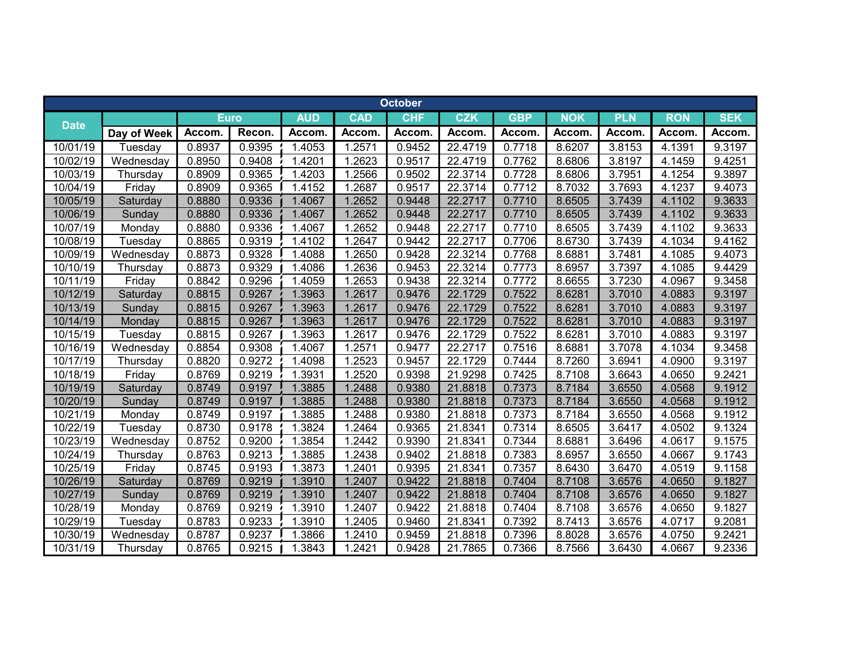|             |             |             |        |            |              | <b>October</b> |            |            |              |            |              |            |
|-------------|-------------|-------------|--------|------------|--------------|----------------|------------|------------|--------------|------------|--------------|------------|
|             |             | <b>Euro</b> |        | <b>AUD</b> | <b>CAD</b>   | <b>CHF</b>     | <b>CZK</b> | <b>GBP</b> | <b>NOK</b>   | <b>PLN</b> | <b>RON</b>   | <b>SEK</b> |
| <b>Date</b> | Day of Week | Accom.      | Recon. | Accom.     | <b>Accom</b> | Accom.         | Accom.     | Accom.     | <b>Accom</b> | Accom      | <b>Accom</b> | Accom.     |
| 10/01/19    | Tuesday     | 0.8937      | 0.9395 | 1.4053     | 1.2571       | 0.9452         | 22.4719    | 0.7718     | 8.6207       | 3.8153     | 4.1391       | 9.3197     |
| 10/02/19    | Wednesday   | 0.8950      | 0.9408 | 1.4201     | 1.2623       | 0.9517         | 22.4719    | 0.7762     | 8.6806       | 3.8197     | 4.1459       | 9.4251     |
| 10/03/19    | Thursday    | 0.8909      | 0.9365 | 1.4203     | 1.2566       | 0.9502         | 22.3714    | 0.7728     | 8.6806       | 3.7951     | 4.1254       | 9.3897     |
| 10/04/19    | Friday      | 0.8909      | 0.9365 | 1.4152     | 1.2687       | 0.9517         | 22.3714    | 0.7712     | 8.7032       | 3.7693     | 4.1237       | 9.4073     |
| 10/05/19    | Saturday    | 0.8880      | 0.9336 | 1.4067     | 1.2652       | 0.9448         | 22.2717    | 0.7710     | 8.6505       | 3.7439     | 4.1102       | 9.3633     |
| 10/06/19    | Sunday      | 0.8880      | 0.9336 | 1.4067     | 1.2652       | 0.9448         | 22.2717    | 0.7710     | 8.6505       | 3.7439     | 4.1102       | 9.3633     |
| 10/07/19    | Monday      | 0.8880      | 0.9336 | 1.4067     | 1.2652       | 0.9448         | 22.2717    | 0.7710     | 8.6505       | 3.7439     | 4.1102       | 9.3633     |
| 10/08/19    | Tuesday     | 0.8865      | 0.9319 | 1.4102     | 1.2647       | 0.9442         | 22.2717    | 0.7706     | 8.6730       | 3.7439     | 4.1034       | 9.4162     |
| 10/09/19    | Wednesday   | 0.8873      | 0.9328 | 1.4088     | 1.2650       | 0.9428         | 22.3214    | 0.7768     | 8.6881       | 3.7481     | 4.1085       | 9.4073     |
| 10/10/19    | Thursday    | 0.8873      | 0.9329 | 1.4086     | 1.2636       | 0.9453         | 22.3214    | 0.7773     | 8.6957       | 3.7397     | 4.1085       | 9.4429     |
| 10/11/19    | Friday      | 0.8842      | 0.9296 | 1.4059     | 1.2653       | 0.9438         | 22.3214    | 0.7772     | 8.6655       | 3.7230     | 4.0967       | 9.3458     |
| 10/12/19    | Saturday    | 0.8815      | 0.9267 | 1.3963     | 1.2617       | 0.9476         | 22.1729    | 0.7522     | 8.6281       | 3.7010     | 4.0883       | 9.3197     |
| 10/13/19    | Sunday      | 0.8815      | 0.9267 | 1.3963     | 1.2617       | 0.9476         | 22.1729    | 0.7522     | 8.6281       | 3.7010     | 4.0883       | 9.3197     |
| 10/14/19    | Monday      | 0.8815      | 0.9267 | 1.3963     | 1.2617       | 0.9476         | 22.1729    | 0.7522     | 8.6281       | 3.7010     | 4.0883       | 9.3197     |
| 10/15/19    | Tuesday     | 0.8815      | 0.9267 | 1.3963     | 1.2617       | 0.9476         | 22.1729    | 0.7522     | 8.6281       | 3.7010     | 4.0883       | 9.3197     |
| 10/16/19    | Wednesday   | 0.8854      | 0.9308 | 1.4067     | 1.2571       | 0.9477         | 22.2717    | 0.7516     | 8.6881       | 3.7078     | 4.1034       | 9.3458     |
| 10/17/19    | Thursday    | 0.8820      | 0.9272 | 1.4098     | 1.2523       | 0.9457         | 22.1729    | 0.7444     | 8.7260       | 3.6941     | 4.0900       | 9.3197     |
| 10/18/19    | Friday      | 0.8769      | 0.9219 | 1.3931     | 1.2520       | 0.9398         | 21.9298    | 0.7425     | 8.7108       | 3.6643     | 4.0650       | 9.2421     |
| 10/19/19    | Saturday    | 0.8749      | 0.9197 | 1.3885     | 1.2488       | 0.9380         | 21.8818    | 0.7373     | 8.7184       | 3.6550     | 4.0568       | 9.1912     |
| 10/20/19    | Sunday      | 0.8749      | 0.9197 | 1.3885     | 1.2488       | 0.9380         | 21.8818    | 0.7373     | 8.7184       | 3.6550     | 4.0568       | 9.1912     |
| 10/21/19    | Monday      | 0.8749      | 0.9197 | 1.3885     | 1.2488       | 0.9380         | 21.8818    | 0.7373     | 8.7184       | 3.6550     | 4.0568       | 9.1912     |
| 10/22/19    | Tuesday     | 0.8730      | 0.9178 | 1.3824     | 1.2464       | 0.9365         | 21.8341    | 0.7314     | 8.6505       | 3.6417     | 4.0502       | 9.1324     |
| 10/23/19    | Wednesday   | 0.8752      | 0.9200 | 1.3854     | 1.2442       | 0.9390         | 21.8341    | 0.7344     | 8.6881       | 3.6496     | 4.0617       | 9.1575     |
| 10/24/19    | Thursday    | 0.8763      | 0.9213 | 1.3885     | 1.2438       | 0.9402         | 21.8818    | 0.7383     | 8.6957       | 3.6550     | 4.0667       | 9.1743     |
| 10/25/19    | Friday      | 0.8745      | 0.9193 | 1.3873     | 1.2401       | 0.9395         | 21.8341    | 0.7357     | 8.6430       | 3.6470     | 4.0519       | 9.1158     |
| 10/26/19    | Saturday    | 0.8769      | 0.9219 | 1.3910     | 1.2407       | 0.9422         | 21.8818    | 0.7404     | 8.7108       | 3.6576     | 4.0650       | 9.1827     |
| 10/27/19    | Sunday      | 0.8769      | 0.9219 | 1.3910     | 1.2407       | 0.9422         | 21.8818    | 0.7404     | 8.7108       | 3.6576     | 4.0650       | 9.1827     |
| 10/28/19    | Monday      | 0.8769      | 0.9219 | 1.3910     | 1.2407       | 0.9422         | 21.8818    | 0.7404     | 8.7108       | 3.6576     | 4.0650       | 9.1827     |
| 10/29/19    | Tuesday     | 0.8783      | 0.9233 | 1.3910     | 1.2405       | 0.9460         | 21.8341    | 0.7392     | 8.7413       | 3.6576     | 4.0717       | 9.2081     |
| 10/30/19    | Wednesday   | 0.8787      | 0.9237 | 1.3866     | 1.2410       | 0.9459         | 21.8818    | 0.7396     | 8.8028       | 3.6576     | 4.0750       | 9.2421     |
| 10/31/19    | Thursday    | 0.8765      | 0.9215 | 1.3843     | 1.2421       | 0.9428         | 21.7865    | 0.7366     | 8.7566       | 3.6430     | 4.0667       | 9.2336     |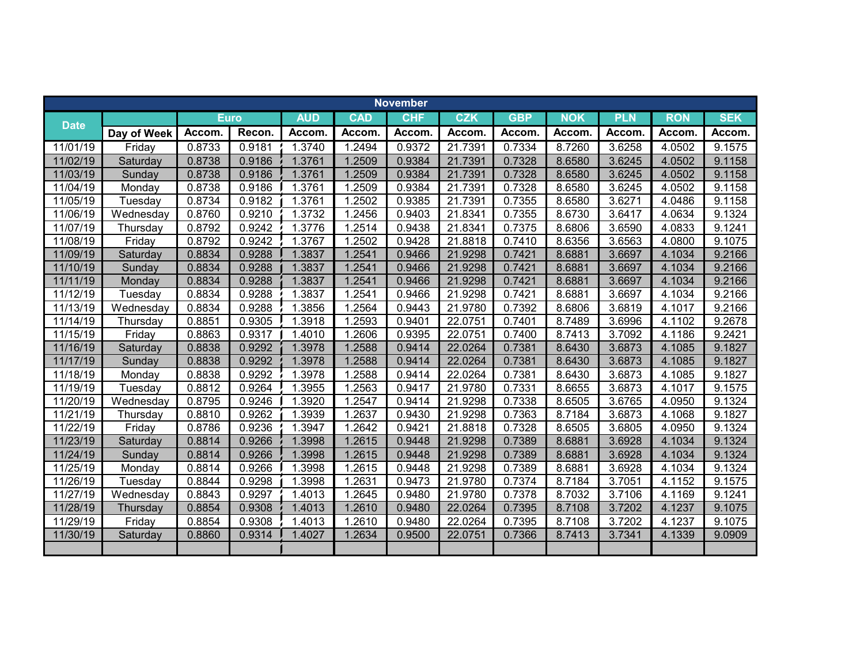|             |             |             |        |            |            | <b>November</b> |            |            |              |            |            |            |
|-------------|-------------|-------------|--------|------------|------------|-----------------|------------|------------|--------------|------------|------------|------------|
|             |             | <b>Euro</b> |        | <b>AUD</b> | <b>CAD</b> | <b>CHF</b>      | <b>CZK</b> | <b>GBP</b> | <b>NOK</b>   | <b>PLN</b> | <b>RON</b> | <b>SEK</b> |
| <b>Date</b> | Day of Week | Accom.      | Recon. | Accom.     | Accom.     | Accom.          | Accom.     | Accom.     | <b>Accom</b> | Accom.     | Accom.     | Accom.     |
| 11/01/19    | Friday      | 0.8733      | 0.9181 | 1.3740     | 1.2494     | 0.9372          | 21.7391    | 0.7334     | 8.7260       | 3.6258     | 4.0502     | 9.1575     |
| 11/02/19    | Saturday    | 0.8738      | 0.9186 | 1.3761     | 1.2509     | 0.9384          | 21.7391    | 0.7328     | 8.6580       | 3.6245     | 4.0502     | 9.1158     |
| 11/03/19    | Sunday      | 0.8738      | 0.9186 | 1.3761     | 1.2509     | 0.9384          | 21.7391    | 0.7328     | 8.6580       | 3.6245     | 4.0502     | 9.1158     |
| 11/04/19    | Monday      | 0.8738      | 0.9186 | 1.3761     | 1.2509     | 0.9384          | 21.7391    | 0.7328     | 8.6580       | 3.6245     | 4.0502     | 9.1158     |
| 11/05/19    | Tuesday     | 0.8734      | 0.9182 | 1.3761     | 1.2502     | 0.9385          | 21.7391    | 0.7355     | 8.6580       | 3.6271     | 4.0486     | 9.1158     |
| 11/06/19    | Wednesday   | 0.8760      | 0.9210 | 1.3732     | 1.2456     | 0.9403          | 21.8341    | 0.7355     | 8.6730       | 3.6417     | 4.0634     | 9.1324     |
| 11/07/19    | Thursday    | 0.8792      | 0.9242 | 1.3776     | 1.2514     | 0.9438          | 21.8341    | 0.7375     | 8.6806       | 3.6590     | 4.0833     | 9.1241     |
| 11/08/19    | Friday      | 0.8792      | 0.9242 | 1.3767     | 1.2502     | 0.9428          | 21.8818    | 0.7410     | 8.6356       | 3.6563     | 4.0800     | 9.1075     |
| 11/09/19    | Saturday    | 0.8834      | 0.9288 | 1.3837     | 1.2541     | 0.9466          | 21.9298    | 0.7421     | 8.6881       | 3.6697     | 4.1034     | 9.2166     |
| 11/10/19    | Sunday      | 0.8834      | 0.9288 | 1.3837     | 1.2541     | 0.9466          | 21.9298    | 0.7421     | 8.6881       | 3.6697     | 4.1034     | 9.2166     |
| 11/11/19    | Monday      | 0.8834      | 0.9288 | 1.3837     | 1.2541     | 0.9466          | 21.9298    | 0.7421     | 8.6881       | 3.6697     | 4.1034     | 9.2166     |
| 11/12/19    | Tuesday     | 0.8834      | 0.9288 | 1.3837     | 1.2541     | 0.9466          | 21.9298    | 0.7421     | 8.6881       | 3.6697     | 4.1034     | 9.2166     |
| 11/13/19    | Wednesday   | 0.8834      | 0.9288 | 1.3856     | 1.2564     | 0.9443          | 21.9780    | 0.7392     | 8.6806       | 3.6819     | 4.1017     | 9.2166     |
| 11/14/19    | Thursday    | 0.8851      | 0.9305 | 1.3918     | 1.2593     | 0.9401          | 22.0751    | 0.7401     | 8.7489       | 3.6996     | 4.1102     | 9.2678     |
| 11/15/19    | Friday      | 0.8863      | 0.9317 | 1.4010     | 1.2606     | 0.9395          | 22.0751    | 0.7400     | 8.7413       | 3.7092     | 4.1186     | 9.2421     |
| 11/16/19    | Saturday    | 0.8838      | 0.9292 | 1.3978     | 1.2588     | 0.9414          | 22.0264    | 0.7381     | 8.6430       | 3.6873     | 4.1085     | 9.1827     |
| 11/17/19    | Sunday      | 0.8838      | 0.9292 | 1.3978     | 1.2588     | 0.9414          | 22.0264    | 0.7381     | 8.6430       | 3.6873     | 4.1085     | 9.1827     |
| 11/18/19    | Monday      | 0.8838      | 0.9292 | 1.3978     | 1.2588     | 0.9414          | 22.0264    | 0.7381     | 8.6430       | 3.6873     | 4.1085     | 9.1827     |
| 11/19/19    | Tuesday     | 0.8812      | 0.9264 | 1.3955     | 1.2563     | 0.9417          | 21.9780    | 0.7331     | 8.6655       | 3.6873     | 4.1017     | 9.1575     |
| 11/20/19    | Wednesday   | 0.8795      | 0.9246 | 1.3920     | 1.2547     | 0.9414          | 21.9298    | 0.7338     | 8.6505       | 3.6765     | 4.0950     | 9.1324     |
| 11/21/19    | Thursday    | 0.8810      | 0.9262 | 1.3939     | 1.2637     | 0.9430          | 21.9298    | 0.7363     | 8.7184       | 3.6873     | 4.1068     | 9.1827     |
| 11/22/19    | Friday      | 0.8786      | 0.9236 | 1.3947     | 1.2642     | 0.9421          | 21.8818    | 0.7328     | 8.6505       | 3.6805     | 4.0950     | 9.1324     |
| 11/23/19    | Saturday    | 0.8814      | 0.9266 | 1.3998     | 1.2615     | 0.9448          | 21.9298    | 0.7389     | 8.6881       | 3.6928     | 4.1034     | 9.1324     |
| 11/24/19    | Sunday      | 0.8814      | 0.9266 | 1.3998     | 1.2615     | 0.9448          | 21.9298    | 0.7389     | 8.6881       | 3.6928     | 4.1034     | 9.1324     |
| 11/25/19    | Monday      | 0.8814      | 0.9266 | 1.3998     | 1.2615     | 0.9448          | 21.9298    | 0.7389     | 8.6881       | 3.6928     | 4.1034     | 9.1324     |
| 11/26/19    | Tuesday     | 0.8844      | 0.9298 | 1.3998     | 1.2631     | 0.9473          | 21.9780    | 0.7374     | 8.7184       | 3.7051     | 4.1152     | 9.1575     |
| 11/27/19    | Wednesday   | 0.8843      | 0.9297 | 1.4013     | 1.2645     | 0.9480          | 21.9780    | 0.7378     | 8.7032       | 3.7106     | 4.1169     | 9.1241     |
| 11/28/19    | Thursday    | 0.8854      | 0.9308 | 1.4013     | 1.2610     | 0.9480          | 22.0264    | 0.7395     | 8.7108       | 3.7202     | 4.1237     | 9.1075     |
| 11/29/19    | Friday      | 0.8854      | 0.9308 | 1.4013     | 1.2610     | 0.9480          | 22.0264    | 0.7395     | 8.7108       | 3.7202     | 4.1237     | 9.1075     |
| 11/30/19    | Saturday    | 0.8860      | 0.9314 | 1.4027     | 1.2634     | 0.9500          | 22.0751    | 0.7366     | 8.7413       | 3.7341     | 4.1339     | 9.0909     |
|             |             |             |        |            |            |                 |            |            |              |            |            |            |